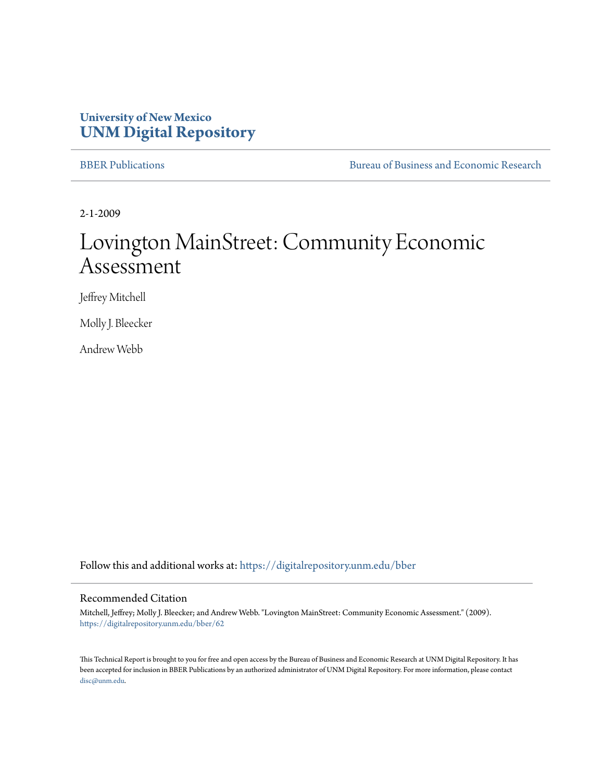### **University of New Mexico [UNM Digital Repository](https://digitalrepository.unm.edu?utm_source=digitalrepository.unm.edu%2Fbber%2F62&utm_medium=PDF&utm_campaign=PDFCoverPages)**

[BBER Publications](https://digitalrepository.unm.edu/bber?utm_source=digitalrepository.unm.edu%2Fbber%2F62&utm_medium=PDF&utm_campaign=PDFCoverPages) [Bureau of Business and Economic Research](https://digitalrepository.unm.edu/business_economic_research?utm_source=digitalrepository.unm.edu%2Fbber%2F62&utm_medium=PDF&utm_campaign=PDFCoverPages)

2-1-2009

## Lovington MainStreet: Community Economic Assessment

Jeffrey Mitchell

Molly J. Bleecker

Andrew Webb

Follow this and additional works at: [https://digitalrepository.unm.edu/bber](https://digitalrepository.unm.edu/bber?utm_source=digitalrepository.unm.edu%2Fbber%2F62&utm_medium=PDF&utm_campaign=PDFCoverPages)

#### Recommended Citation

Mitchell, Jeffrey; Molly J. Bleecker; and Andrew Webb. "Lovington MainStreet: Community Economic Assessment." (2009). [https://digitalrepository.unm.edu/bber/62](https://digitalrepository.unm.edu/bber/62?utm_source=digitalrepository.unm.edu%2Fbber%2F62&utm_medium=PDF&utm_campaign=PDFCoverPages)

This Technical Report is brought to you for free and open access by the Bureau of Business and Economic Research at UNM Digital Repository. It has been accepted for inclusion in BBER Publications by an authorized administrator of UNM Digital Repository. For more information, please contact [disc@unm.edu](mailto:disc@unm.edu).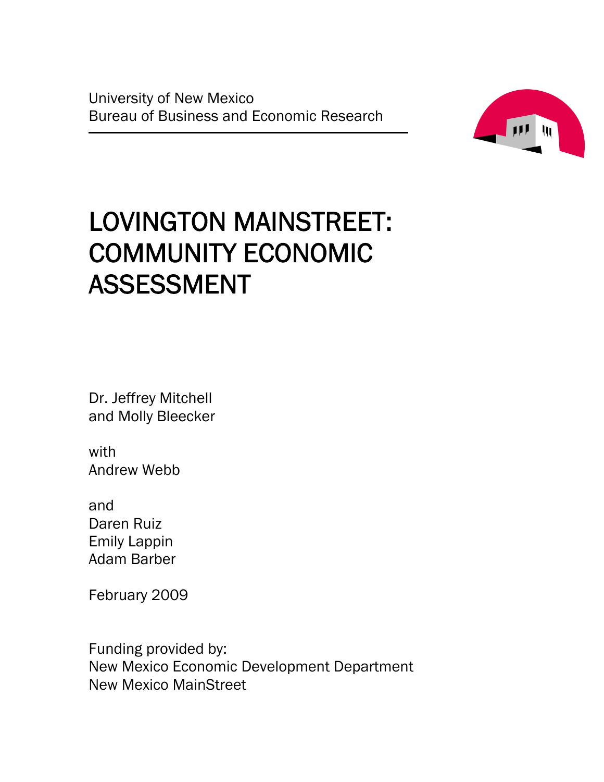University of New Mexico Bureau of Business and Economic Research



# LOVINGTON MAINSTREET: COMMUNITY ECONOMIC ASSESSMENT

Dr. Jeffrey Mitchell and Molly Bleecker

with Andrew Webb

and Daren Ruiz Emily Lappin Adam Barber

February 2009

Funding provided by: New Mexico Economic Development Department New Mexico MainStreet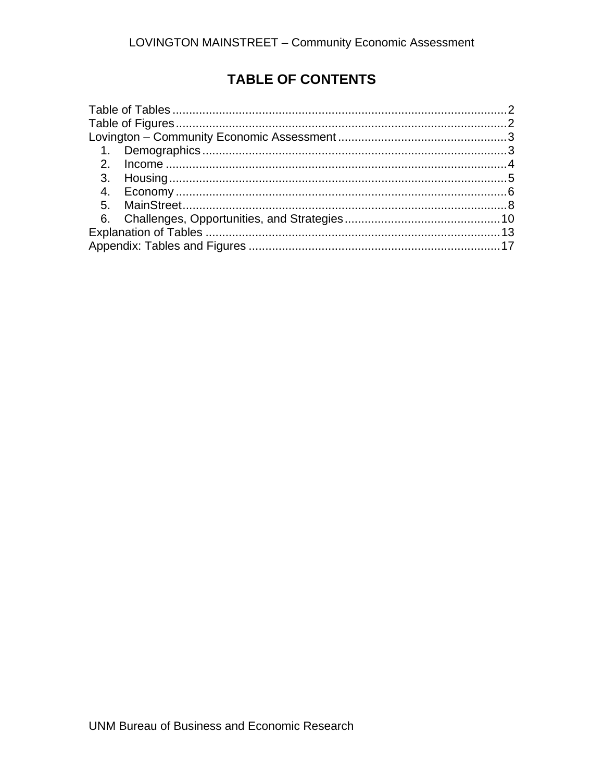### **TABLE OF CONTENTS**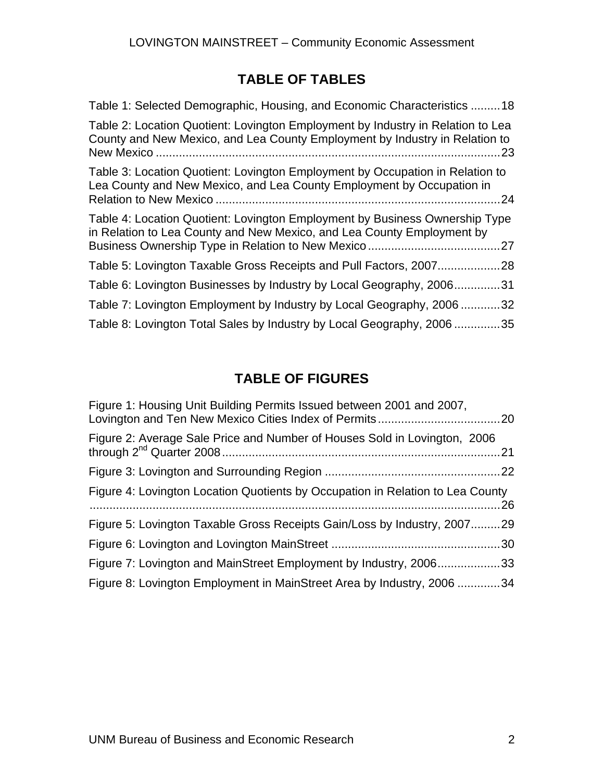### **TABLE OF TABLES**

| Table 1: Selected Demographic, Housing, and Economic Characteristics 18                                                                                               |
|-----------------------------------------------------------------------------------------------------------------------------------------------------------------------|
| Table 2: Location Quotient: Lovington Employment by Industry in Relation to Lea<br>County and New Mexico, and Lea County Employment by Industry in Relation to<br>.23 |
| Table 3: Location Quotient: Lovington Employment by Occupation in Relation to<br>Lea County and New Mexico, and Lea County Employment by Occupation in<br>.24         |
| Table 4: Location Quotient: Lovington Employment by Business Ownership Type<br>in Relation to Lea County and New Mexico, and Lea County Employment by                 |
|                                                                                                                                                                       |
| Table 6: Lovington Businesses by Industry by Local Geography, 2006<br>.31                                                                                             |
| Table 7: Lovington Employment by Industry by Local Geography, 2006<br>32 <sub>2</sub>                                                                                 |
| Table 8: Lovington Total Sales by Industry by Local Geography, 2006<br>.35                                                                                            |

### **TABLE OF FIGURES**

| Figure 1: Housing Unit Building Permits Issued between 2001 and 2007,          |  |
|--------------------------------------------------------------------------------|--|
| Figure 2: Average Sale Price and Number of Houses Sold in Lovington, 2006      |  |
|                                                                                |  |
| Figure 4: Lovington Location Quotients by Occupation in Relation to Lea County |  |
| Figure 5: Lovington Taxable Gross Receipts Gain/Loss by Industry, 200729       |  |
|                                                                                |  |
| Figure 7: Lovington and MainStreet Employment by Industry, 200633              |  |
| Figure 8: Lovington Employment in MainStreet Area by Industry, 2006 34         |  |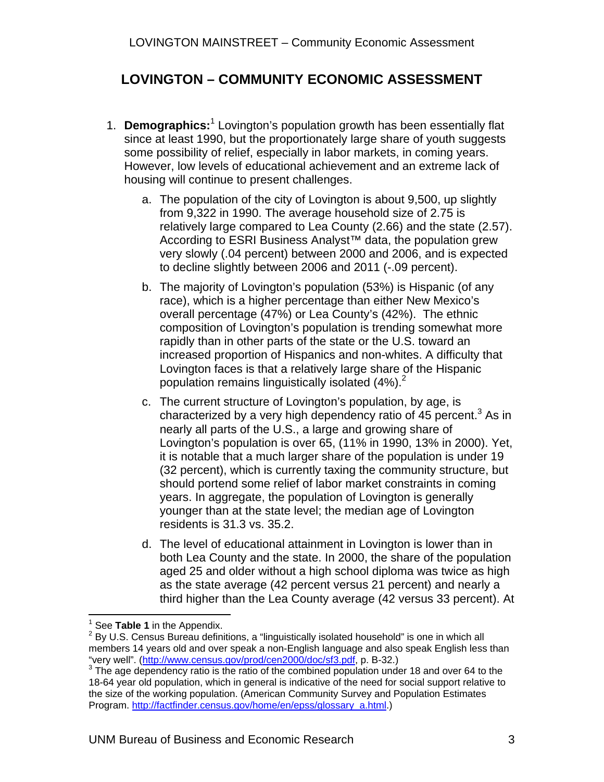### **LOVINGTON – COMMUNITY ECONOMIC ASSESSMENT**

- 1. **Demographics:**<sup>1</sup> Lovington's population growth has been essentially flat since at least 1990, but the proportionately large share of youth suggests some possibility of relief, especially in labor markets, in coming years. However, low levels of educational achievement and an extreme lack of housing will continue to present challenges.
	- a. The population of the city of Lovington is about 9,500, up slightly from 9,322 in 1990. The average household size of 2.75 is relatively large compared to Lea County (2.66) and the state (2.57). According to ESRI Business Analyst<sup>™</sup> data, the population grew very slowly (.04 percent) between 2000 and 2006, and is expected to decline slightly between 2006 and 2011 (-.09 percent).
	- b. The majority of Lovington's population (53%) is Hispanic (of any race), which is a higher percentage than either New Mexico's overall percentage (47%) or Lea County's (42%). The ethnic composition of Lovington's population is trending somewhat more rapidly than in other parts of the state or the U.S. toward an increased proportion of Hispanics and non-whites. A difficulty that Lovington faces is that a relatively large share of the Hispanic population remains linguistically isolated  $(4\%)$ .<sup>2</sup>
	- c. The current structure of Lovington's population, by age, is characterized by a very high dependency ratio of 45 percent.<sup>3</sup> As in nearly all parts of the U.S., a large and growing share of Lovington's population is over 65, (11% in 1990, 13% in 2000). Yet, it is notable that a much larger share of the population is under 19 (32 percent), which is currently taxing the community structure, but should portend some relief of labor market constraints in coming years. In aggregate, the population of Lovington is generally younger than at the state level; the median age of Lovington residents is 31.3 vs. 35.2.
	- d. The level of educational attainment in Lovington is lower than in both Lea County and the state. In 2000, the share of the population aged 25 and older without a high school diploma was twice as high as the state average (42 percent versus 21 percent) and nearly a third higher than the Lea County average (42 versus 33 percent). At

 $\overline{a}$ 1

<sup>&</sup>lt;sup>1</sup> See **Table 1** in the Appendix.<br><sup>2</sup> By U.S. Census Bureau definitions, a "linguistically isolated household" is one in which all . members 14 years old and over speak a non-English language and also speak English less than "very well". (http://www.census.gov/prod/cen2000/doc/sf3.pdf, p. B-32.) 3

The age dependency ratio is the ratio of the combined population under 18 and over 64 to the 18-64 year old population, which in general is indicative of the need for social support relative to the size of the working population. (American Community Survey and Population Estimates Program. http://factfinder.census.gov/home/en/epss/glossary\_a.html.)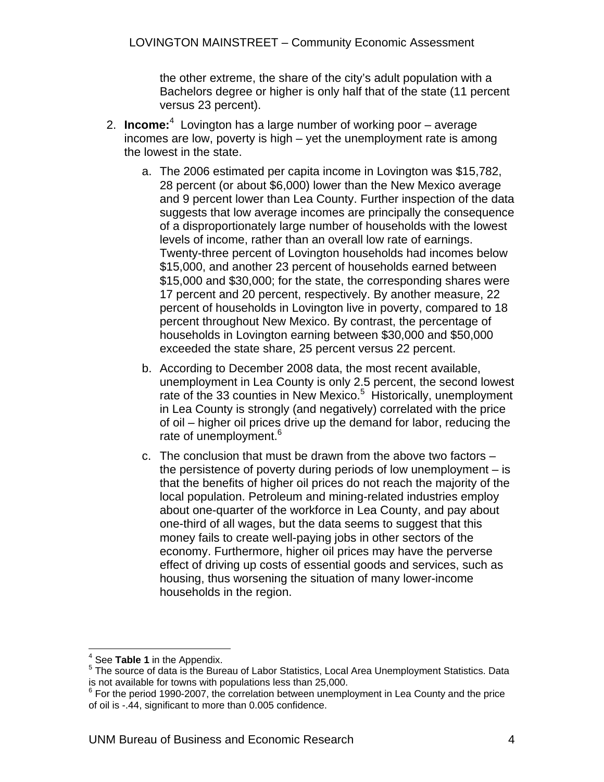the other extreme, the share of the city's adult population with a Bachelors degree or higher is only half that of the state (11 percent versus 23 percent).

- 2. **Income:**<sup>4</sup> Lovington has a large number of working poor average incomes are low, poverty is high – yet the unemployment rate is among the lowest in the state.
	- a. The 2006 estimated per capita income in Lovington was \$15,782, 28 percent (or about \$6,000) lower than the New Mexico average and 9 percent lower than Lea County. Further inspection of the data suggests that low average incomes are principally the consequence of a disproportionately large number of households with the lowest levels of income, rather than an overall low rate of earnings. Twenty-three percent of Lovington households had incomes below \$15,000, and another 23 percent of households earned between \$15,000 and \$30,000; for the state, the corresponding shares were 17 percent and 20 percent, respectively. By another measure, 22 percent of households in Lovington live in poverty, compared to 18 percent throughout New Mexico. By contrast, the percentage of households in Lovington earning between \$30,000 and \$50,000 exceeded the state share, 25 percent versus 22 percent.
	- b. According to December 2008 data, the most recent available, unemployment in Lea County is only 2.5 percent, the second lowest rate of the 33 counties in New Mexico.<sup>5</sup> Historically, unemployment in Lea County is strongly (and negatively) correlated with the price of oil – higher oil prices drive up the demand for labor, reducing the rate of unemployment.<sup>6</sup>
	- c. The conclusion that must be drawn from the above two factors the persistence of poverty during periods of low unemployment – is that the benefits of higher oil prices do not reach the majority of the local population. Petroleum and mining-related industries employ about one-quarter of the workforce in Lea County, and pay about one-third of all wages, but the data seems to suggest that this money fails to create well-paying jobs in other sectors of the economy. Furthermore, higher oil prices may have the perverse effect of driving up costs of essential goods and services, such as housing, thus worsening the situation of many lower-income households in the region.

<sup>&</sup>lt;sup>4</sup> See **Table 1** in the Appendix.

The source of data is the Bureau of Labor Statistics, Local Area Unemployment Statistics. Data is not available for towns with populations less than 25,000.

 $6$  For the period 1990-2007, the correlation between unemployment in Lea County and the price of oil is -.44, significant to more than 0.005 confidence.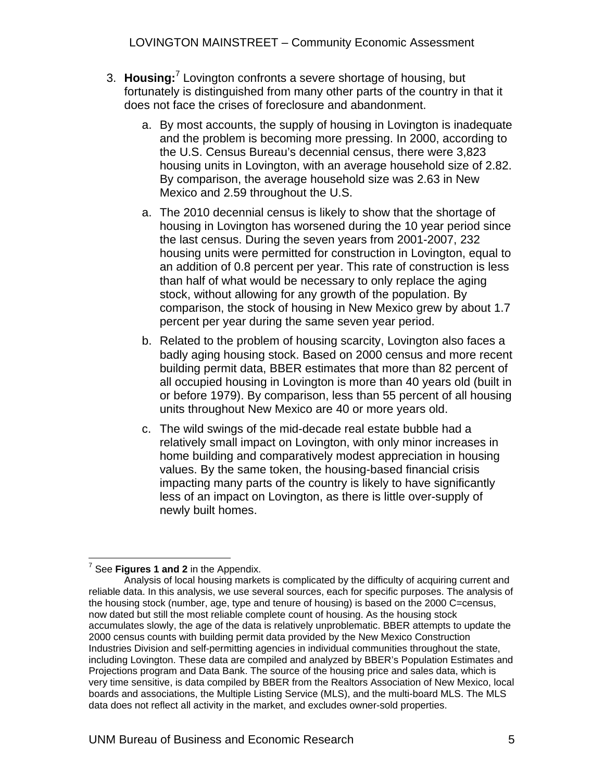LOVINGTON MAINSTREET – Community Economic Assessment

- 3. Housing:<sup>7</sup> Lovington confronts a severe shortage of housing, but fortunately is distinguished from many other parts of the country in that it does not face the crises of foreclosure and abandonment.
	- a. By most accounts, the supply of housing in Lovington is inadequate and the problem is becoming more pressing. In 2000, according to the U.S. Census Bureau's decennial census, there were 3,823 housing units in Lovington, with an average household size of 2.82. By comparison, the average household size was 2.63 in New Mexico and 2.59 throughout the U.S.
	- a. The 2010 decennial census is likely to show that the shortage of housing in Lovington has worsened during the 10 year period since the last census. During the seven years from 2001-2007, 232 housing units were permitted for construction in Lovington, equal to an addition of 0.8 percent per year. This rate of construction is less than half of what would be necessary to only replace the aging stock, without allowing for any growth of the population. By comparison, the stock of housing in New Mexico grew by about 1.7 percent per year during the same seven year period.
	- b. Related to the problem of housing scarcity, Lovington also faces a badly aging housing stock. Based on 2000 census and more recent building permit data, BBER estimates that more than 82 percent of all occupied housing in Lovington is more than 40 years old (built in or before 1979). By comparison, less than 55 percent of all housing units throughout New Mexico are 40 or more years old.
	- c. The wild swings of the mid-decade real estate bubble had a relatively small impact on Lovington, with only minor increases in home building and comparatively modest appreciation in housing values. By the same token, the housing-based financial crisis impacting many parts of the country is likely to have significantly less of an impact on Lovington, as there is little over-supply of newly built homes.

 7 See **Figures 1 and 2** in the Appendix.

Analysis of local housing markets is complicated by the difficulty of acquiring current and reliable data. In this analysis, we use several sources, each for specific purposes. The analysis of the housing stock (number, age, type and tenure of housing) is based on the 2000 C=census, now dated but still the most reliable complete count of housing. As the housing stock accumulates slowly, the age of the data is relatively unproblematic. BBER attempts to update the 2000 census counts with building permit data provided by the New Mexico Construction Industries Division and self-permitting agencies in individual communities throughout the state, including Lovington. These data are compiled and analyzed by BBER's Population Estimates and Projections program and Data Bank. The source of the housing price and sales data, which is very time sensitive, is data compiled by BBER from the Realtors Association of New Mexico, local boards and associations, the Multiple Listing Service (MLS), and the multi-board MLS. The MLS data does not reflect all activity in the market, and excludes owner-sold properties.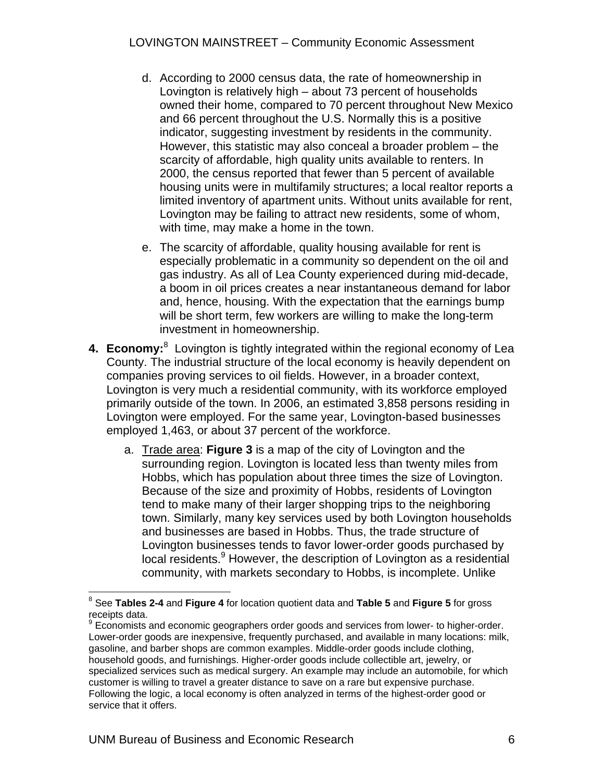- d. According to 2000 census data, the rate of homeownership in Lovington is relatively high – about 73 percent of households owned their home, compared to 70 percent throughout New Mexico and 66 percent throughout the U.S. Normally this is a positive indicator, suggesting investment by residents in the community. However, this statistic may also conceal a broader problem – the scarcity of affordable, high quality units available to renters. In 2000, the census reported that fewer than 5 percent of available housing units were in multifamily structures; a local realtor reports a limited inventory of apartment units. Without units available for rent, Lovington may be failing to attract new residents, some of whom, with time, may make a home in the town.
- e. The scarcity of affordable, quality housing available for rent is especially problematic in a community so dependent on the oil and gas industry. As all of Lea County experienced during mid-decade, a boom in oil prices creates a near instantaneous demand for labor and, hence, housing. With the expectation that the earnings bump will be short term, few workers are willing to make the long-term investment in homeownership.
- 4. Economy:<sup>8</sup> Lovington is tightly integrated within the regional economy of Lea County. The industrial structure of the local economy is heavily dependent on companies proving services to oil fields. However, in a broader context, Lovington is very much a residential community, with its workforce employed primarily outside of the town. In 2006, an estimated 3,858 persons residing in Lovington were employed. For the same year, Lovington-based businesses employed 1,463, or about 37 percent of the workforce.
	- a. Trade area: **Figure 3** is a map of the city of Lovington and the surrounding region. Lovington is located less than twenty miles from Hobbs, which has population about three times the size of Lovington. Because of the size and proximity of Hobbs, residents of Lovington tend to make many of their larger shopping trips to the neighboring town. Similarly, many key services used by both Lovington households and businesses are based in Hobbs. Thus, the trade structure of Lovington businesses tends to favor lower-order goods purchased by local residents.<sup>9</sup> However, the description of Lovington as a residential community, with markets secondary to Hobbs, is incomplete. Unlike

 8 See **Tables 2-4** and **Figure 4** for location quotient data and **Table 5** and **Figure 5** for gross receipts data.

<sup>&</sup>lt;sup>9</sup> Economists and economic geographers order goods and services from lower- to higher-order. Lower-order goods are inexpensive, frequently purchased, and available in many locations: milk, gasoline, and barber shops are common examples. Middle-order goods include clothing, household goods, and furnishings. Higher-order goods include collectible art, jewelry, or specialized services such as medical surgery. An example may include an automobile, for which customer is willing to travel a greater distance to save on a rare but expensive purchase. Following the logic, a local economy is often analyzed in terms of the highest-order good or service that it offers.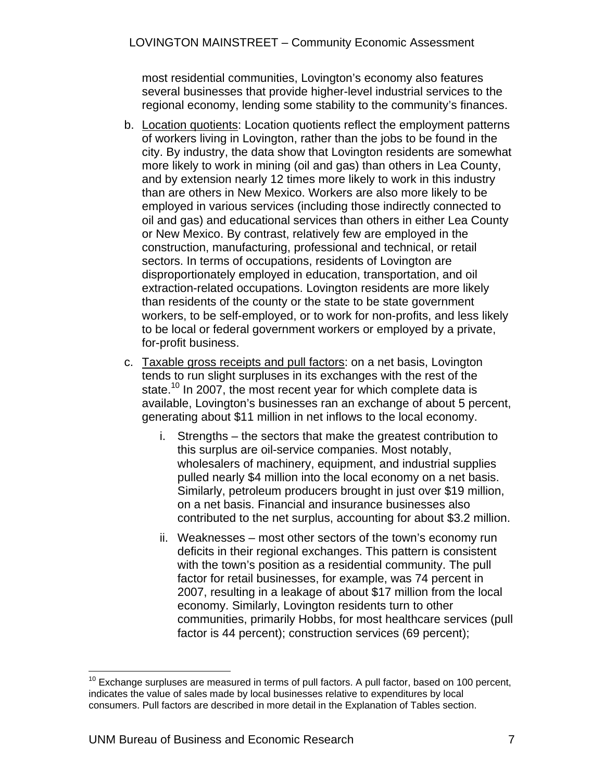most residential communities, Lovington's economy also features several businesses that provide higher-level industrial services to the regional economy, lending some stability to the community's finances.

- b. Location quotients: Location quotients reflect the employment patterns of workers living in Lovington, rather than the jobs to be found in the city. By industry, the data show that Lovington residents are somewhat more likely to work in mining (oil and gas) than others in Lea County, and by extension nearly 12 times more likely to work in this industry than are others in New Mexico. Workers are also more likely to be employed in various services (including those indirectly connected to oil and gas) and educational services than others in either Lea County or New Mexico. By contrast, relatively few are employed in the construction, manufacturing, professional and technical, or retail sectors. In terms of occupations, residents of Lovington are disproportionately employed in education, transportation, and oil extraction-related occupations. Lovington residents are more likely than residents of the county or the state to be state government workers, to be self-employed, or to work for non-profits, and less likely to be local or federal government workers or employed by a private, for-profit business.
- c. Taxable gross receipts and pull factors: on a net basis, Lovington tends to run slight surpluses in its exchanges with the rest of the state.<sup>10</sup> In 2007, the most recent year for which complete data is available, Lovington's businesses ran an exchange of about 5 percent, generating about \$11 million in net inflows to the local economy.
	- i. Strengths the sectors that make the greatest contribution to this surplus are oil-service companies. Most notably, wholesalers of machinery, equipment, and industrial supplies pulled nearly \$4 million into the local economy on a net basis. Similarly, petroleum producers brought in just over \$19 million, on a net basis. Financial and insurance businesses also contributed to the net surplus, accounting for about \$3.2 million.
	- ii. Weaknesses most other sectors of the town's economy run deficits in their regional exchanges. This pattern is consistent with the town's position as a residential community. The pull factor for retail businesses, for example, was 74 percent in 2007, resulting in a leakage of about \$17 million from the local economy. Similarly, Lovington residents turn to other communities, primarily Hobbs, for most healthcare services (pull factor is 44 percent); construction services (69 percent);

 $\overline{a}$  $10$  Exchange surpluses are measured in terms of pull factors. A pull factor, based on 100 percent, indicates the value of sales made by local businesses relative to expenditures by local consumers. Pull factors are described in more detail in the Explanation of Tables section.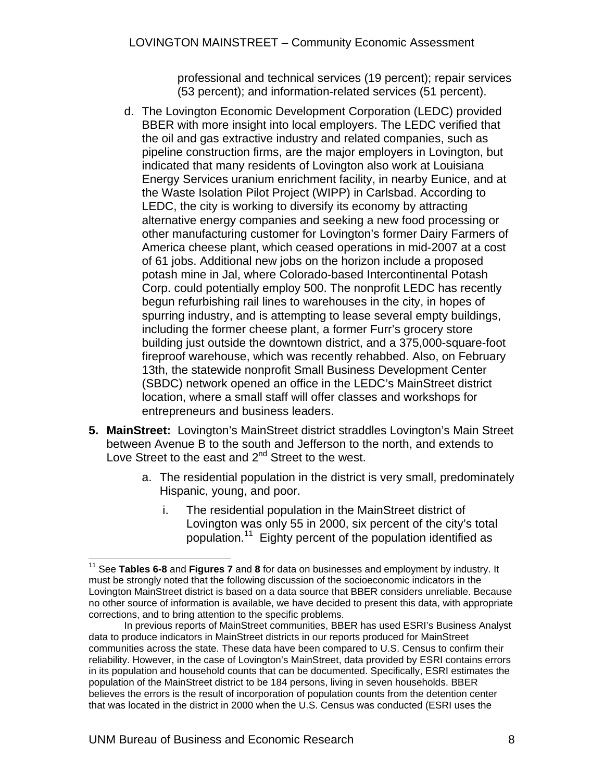professional and technical services (19 percent); repair services (53 percent); and information-related services (51 percent).

- d. The Lovington Economic Development Corporation (LEDC) provided BBER with more insight into local employers. The LEDC verified that the oil and gas extractive industry and related companies, such as pipeline construction firms, are the major employers in Lovington, but indicated that many residents of Lovington also work at Louisiana Energy Services uranium enrichment facility, in nearby Eunice, and at the Waste Isolation Pilot Project (WIPP) in Carlsbad. According to LEDC, the city is working to diversify its economy by attracting alternative energy companies and seeking a new food processing or other manufacturing customer for Lovington's former Dairy Farmers of America cheese plant, which ceased operations in mid-2007 at a cost of 61 jobs. Additional new jobs on the horizon include a proposed potash mine in Jal, where Colorado-based Intercontinental Potash Corp. could potentially employ 500. The nonprofit LEDC has recently begun refurbishing rail lines to warehouses in the city, in hopes of spurring industry, and is attempting to lease several empty buildings, including the former cheese plant, a former Furr's grocery store building just outside the downtown district, and a 375,000-square-foot fireproof warehouse, which was recently rehabbed. Also, on February 13th, the statewide nonprofit Small Business Development Center (SBDC) network opened an office in the LEDC's MainStreet district location, where a small staff will offer classes and workshops for entrepreneurs and business leaders.
- **5. MainStreet:** Lovington's MainStreet district straddles Lovington's Main Street between Avenue B to the south and Jefferson to the north, and extends to Love Street to the east and 2<sup>nd</sup> Street to the west.
	- a. The residential population in the district is very small, predominately Hispanic, young, and poor.
		- i. The residential population in the MainStreet district of Lovington was only 55 in 2000, six percent of the city's total population.11 Eighty percent of the population identified as

 $\overline{a}$ 11 See **Tables 6-8** and **Figures 7** and **8** for data on businesses and employment by industry. It must be strongly noted that the following discussion of the socioeconomic indicators in the Lovington MainStreet district is based on a data source that BBER considers unreliable. Because no other source of information is available, we have decided to present this data, with appropriate corrections, and to bring attention to the specific problems.

In previous reports of MainStreet communities, BBER has used ESRI's Business Analyst data to produce indicators in MainStreet districts in our reports produced for MainStreet communities across the state. These data have been compared to U.S. Census to confirm their reliability. However, in the case of Lovington's MainStreet, data provided by ESRI contains errors in its population and household counts that can be documented. Specifically, ESRI estimates the population of the MainStreet district to be 184 persons, living in seven households. BBER believes the errors is the result of incorporation of population counts from the detention center that was located in the district in 2000 when the U.S. Census was conducted (ESRI uses the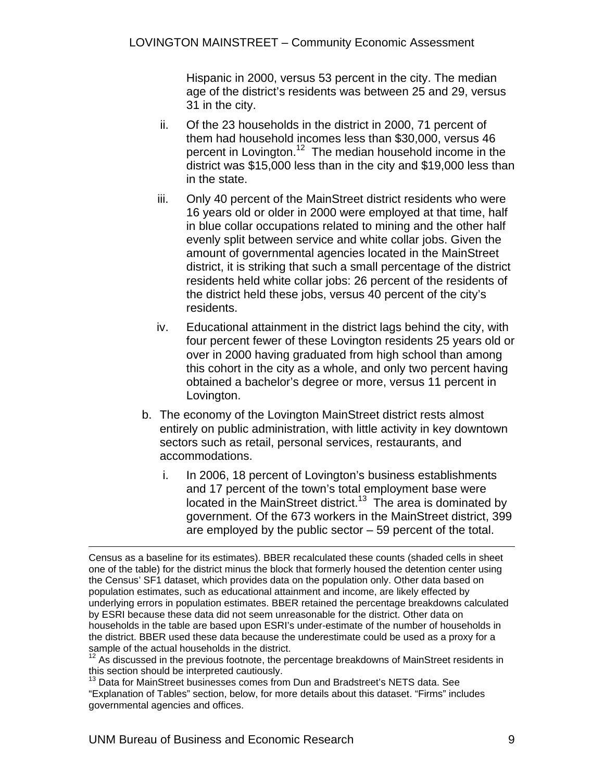Hispanic in 2000, versus 53 percent in the city. The median age of the district's residents was between 25 and 29, versus 31 in the city.

- ii. Of the 23 households in the district in 2000, 71 percent of them had household incomes less than \$30,000, versus 46 percent in Lovington.<sup>12</sup> The median household income in the district was \$15,000 less than in the city and \$19,000 less than in the state.
- iii. Only 40 percent of the MainStreet district residents who were 16 years old or older in 2000 were employed at that time, half in blue collar occupations related to mining and the other half evenly split between service and white collar jobs. Given the amount of governmental agencies located in the MainStreet district, it is striking that such a small percentage of the district residents held white collar jobs: 26 percent of the residents of the district held these jobs, versus 40 percent of the city's residents.
- iv. Educational attainment in the district lags behind the city, with four percent fewer of these Lovington residents 25 years old or over in 2000 having graduated from high school than among this cohort in the city as a whole, and only two percent having obtained a bachelor's degree or more, versus 11 percent in Lovington.
- b. The economy of the Lovington MainStreet district rests almost entirely on public administration, with little activity in key downtown sectors such as retail, personal services, restaurants, and accommodations.
	- i. In 2006, 18 percent of Lovington's business establishments and 17 percent of the town's total employment base were located in the MainStreet district.<sup>13</sup> The area is dominated by government. Of the 673 workers in the MainStreet district, 399 are employed by the public sector – 59 percent of the total.

 Census as a baseline for its estimates). BBER recalculated these counts (shaded cells in sheet one of the table) for the district minus the block that formerly housed the detention center using the Census' SF1 dataset, which provides data on the population only. Other data based on population estimates, such as educational attainment and income, are likely effected by underlying errors in population estimates. BBER retained the percentage breakdowns calculated by ESRI because these data did not seem unreasonable for the district. Other data on households in the table are based upon ESRI's under-estimate of the number of households in the district. BBER used these data because the underestimate could be used as a proxy for a sample of the actual households in the district.

 $12$  As discussed in the previous footnote, the percentage breakdowns of MainStreet residents in this section should be interpreted cautiously.

 $13$  Data for MainStreet businesses comes from Dun and Bradstreet's NETS data. See "Explanation of Tables" section, below, for more details about this dataset. "Firms" includes governmental agencies and offices.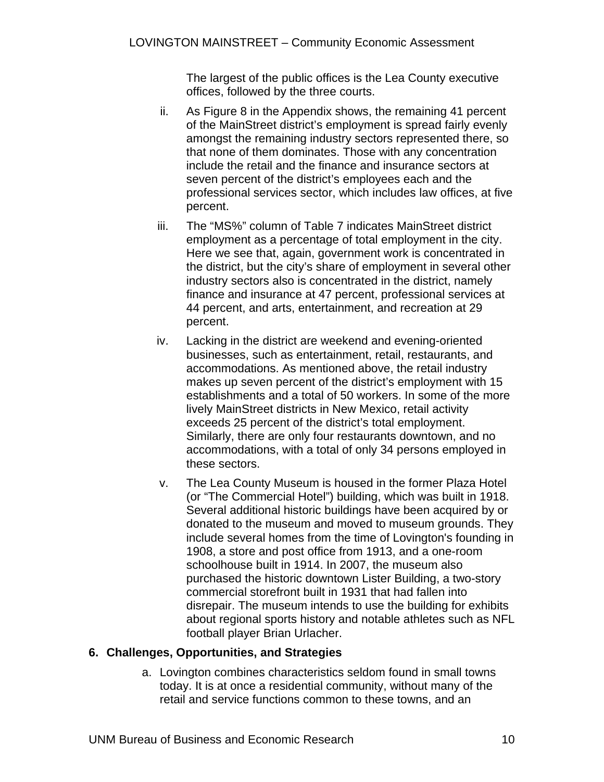The largest of the public offices is the Lea County executive offices, followed by the three courts.

- ii. As Figure 8 in the Appendix shows, the remaining 41 percent of the MainStreet district's employment is spread fairly evenly amongst the remaining industry sectors represented there, so that none of them dominates. Those with any concentration include the retail and the finance and insurance sectors at seven percent of the district's employees each and the professional services sector, which includes law offices, at five percent.
- iii. The "MS%" column of Table 7 indicates MainStreet district employment as a percentage of total employment in the city. Here we see that, again, government work is concentrated in the district, but the city's share of employment in several other industry sectors also is concentrated in the district, namely finance and insurance at 47 percent, professional services at 44 percent, and arts, entertainment, and recreation at 29 percent.
- iv. Lacking in the district are weekend and evening-oriented businesses, such as entertainment, retail, restaurants, and accommodations. As mentioned above, the retail industry makes up seven percent of the district's employment with 15 establishments and a total of 50 workers. In some of the more lively MainStreet districts in New Mexico, retail activity exceeds 25 percent of the district's total employment. Similarly, there are only four restaurants downtown, and no accommodations, with a total of only 34 persons employed in these sectors.
- v. The Lea County Museum is housed in the former Plaza Hotel (or "The Commercial Hotel") building, which was built in 1918. Several additional historic buildings have been acquired by or donated to the museum and moved to museum grounds. They include several homes from the time of Lovington's founding in 1908, a store and post office from 1913, and a one-room schoolhouse built in 1914. In 2007, the museum also purchased the historic downtown Lister Building, a two-story commercial storefront built in 1931 that had fallen into disrepair. The museum intends to use the building for exhibits about regional sports history and notable athletes such as NFL football player Brian Urlacher.

### **6. Challenges, Opportunities, and Strategies**

a. Lovington combines characteristics seldom found in small towns today. It is at once a residential community, without many of the retail and service functions common to these towns, and an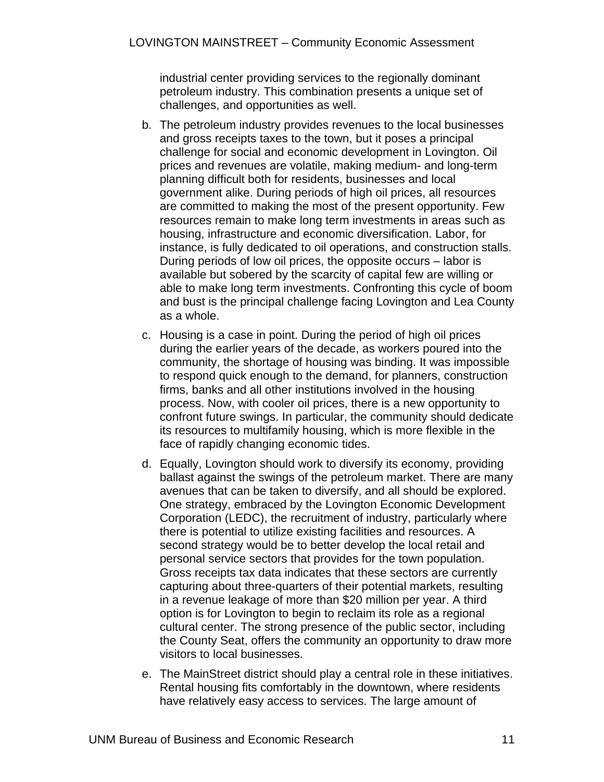industrial center providing services to the regionally dominant petroleum industry. This combination presents a unique set of challenges, and opportunities as well.

- b. The petroleum industry provides revenues to the local businesses and gross receipts taxes to the town, but it poses a principal challenge for social and economic development in Lovington. Oil prices and revenues are volatile, making medium- and long-term planning difficult both for residents, businesses and local government alike. During periods of high oil prices, all resources are committed to making the most of the present opportunity. Few resources remain to make long term investments in areas such as housing, infrastructure and economic diversification. Labor, for instance, is fully dedicated to oil operations, and construction stalls. During periods of low oil prices, the opposite occurs – labor is available but sobered by the scarcity of capital few are willing or able to make long term investments. Confronting this cycle of boom and bust is the principal challenge facing Lovington and Lea County as a whole.
- c. Housing is a case in point. During the period of high oil prices during the earlier years of the decade, as workers poured into the community, the shortage of housing was binding. It was impossible to respond quick enough to the demand, for planners, construction firms, banks and all other institutions involved in the housing process. Now, with cooler oil prices, there is a new opportunity to confront future swings. In particular, the community should dedicate its resources to multifamily housing, which is more flexible in the face of rapidly changing economic tides.
- d. Equally, Lovington should work to diversify its economy, providing ballast against the swings of the petroleum market. There are many avenues that can be taken to diversify, and all should be explored. One strategy, embraced by the Lovington Economic Development Corporation (LEDC), the recruitment of industry, particularly where there is potential to utilize existing facilities and resources. A second strategy would be to better develop the local retail and personal service sectors that provides for the town population. Gross receipts tax data indicates that these sectors are currently capturing about three-quarters of their potential markets, resulting in a revenue leakage of more than \$20 million per year. A third option is for Lovington to begin to reclaim its role as a regional cultural center. The strong presence of the public sector, including the County Seat, offers the community an opportunity to draw more visitors to local businesses.
- e. The MainStreet district should play a central role in these initiatives. Rental housing fits comfortably in the downtown, where residents have relatively easy access to services. The large amount of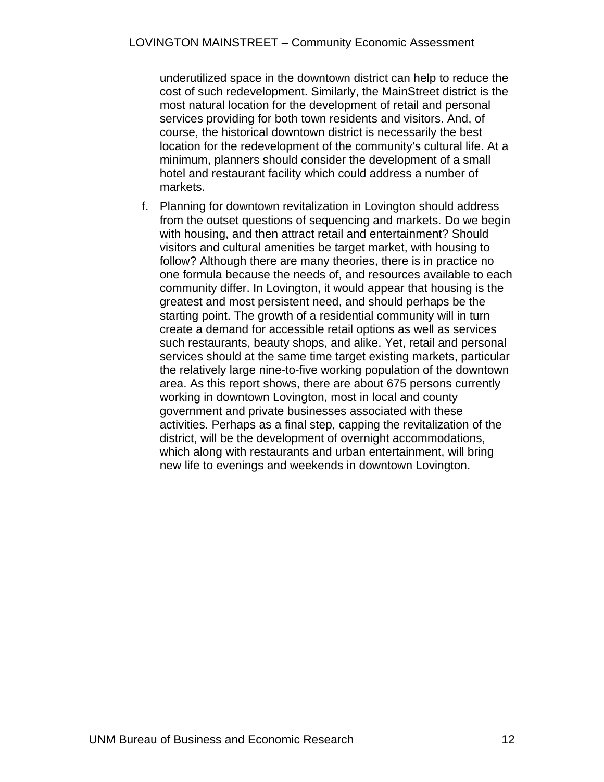underutilized space in the downtown district can help to reduce the cost of such redevelopment. Similarly, the MainStreet district is the most natural location for the development of retail and personal services providing for both town residents and visitors. And, of course, the historical downtown district is necessarily the best location for the redevelopment of the community's cultural life. At a minimum, planners should consider the development of a small hotel and restaurant facility which could address a number of markets.

f. Planning for downtown revitalization in Lovington should address from the outset questions of sequencing and markets. Do we begin with housing, and then attract retail and entertainment? Should visitors and cultural amenities be target market, with housing to follow? Although there are many theories, there is in practice no one formula because the needs of, and resources available to each community differ. In Lovington, it would appear that housing is the greatest and most persistent need, and should perhaps be the starting point. The growth of a residential community will in turn create a demand for accessible retail options as well as services such restaurants, beauty shops, and alike. Yet, retail and personal services should at the same time target existing markets, particular the relatively large nine-to-five working population of the downtown area. As this report shows, there are about 675 persons currently working in downtown Lovington, most in local and county government and private businesses associated with these activities. Perhaps as a final step, capping the revitalization of the district, will be the development of overnight accommodations, which along with restaurants and urban entertainment, will bring new life to evenings and weekends in downtown Lovington.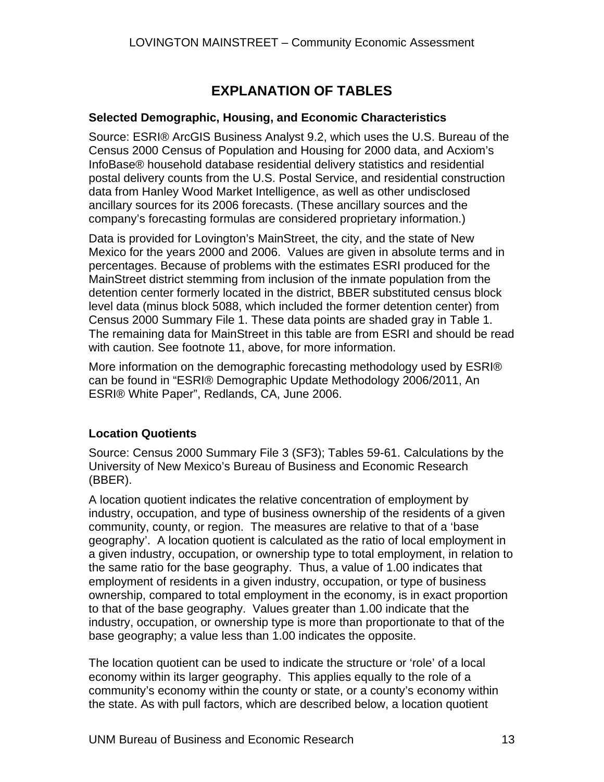### **EXPLANATION OF TABLES**

### **Selected Demographic, Housing, and Economic Characteristics**

Source: ESRI® ArcGIS Business Analyst 9.2, which uses the U.S. Bureau of the Census 2000 Census of Population and Housing for 2000 data, and Acxiom's InfoBase® household database residential delivery statistics and residential postal delivery counts from the U.S. Postal Service, and residential construction data from Hanley Wood Market Intelligence, as well as other undisclosed ancillary sources for its 2006 forecasts. (These ancillary sources and the company's forecasting formulas are considered proprietary information.)

Data is provided for Lovington's MainStreet, the city, and the state of New Mexico for the years 2000 and 2006. Values are given in absolute terms and in percentages. Because of problems with the estimates ESRI produced for the MainStreet district stemming from inclusion of the inmate population from the detention center formerly located in the district, BBER substituted census block level data (minus block 5088, which included the former detention center) from Census 2000 Summary File 1. These data points are shaded gray in Table 1. The remaining data for MainStreet in this table are from ESRI and should be read with caution. See footnote 11, above, for more information.

More information on the demographic forecasting methodology used by ESRI® can be found in "ESRI® Demographic Update Methodology 2006/2011, An ESRI® White Paper", Redlands, CA, June 2006.

### **Location Quotients**

Source: Census 2000 Summary File 3 (SF3); Tables 59-61. Calculations by the University of New Mexico's Bureau of Business and Economic Research (BBER).

A location quotient indicates the relative concentration of employment by industry, occupation, and type of business ownership of the residents of a given community, county, or region. The measures are relative to that of a 'base geography'. A location quotient is calculated as the ratio of local employment in a given industry, occupation, or ownership type to total employment, in relation to the same ratio for the base geography. Thus, a value of 1.00 indicates that employment of residents in a given industry, occupation, or type of business ownership, compared to total employment in the economy, is in exact proportion to that of the base geography. Values greater than 1.00 indicate that the industry, occupation, or ownership type is more than proportionate to that of the base geography; a value less than 1.00 indicates the opposite.

The location quotient can be used to indicate the structure or 'role' of a local economy within its larger geography. This applies equally to the role of a community's economy within the county or state, or a county's economy within the state. As with pull factors, which are described below, a location quotient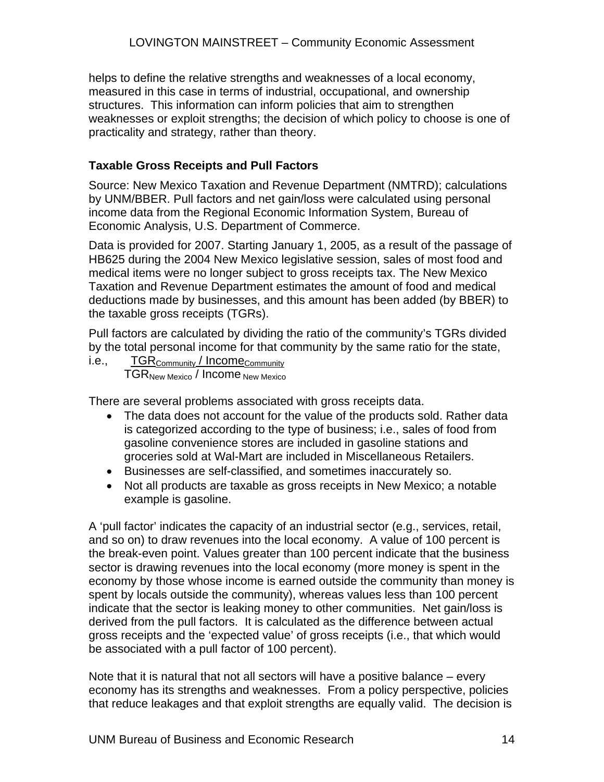helps to define the relative strengths and weaknesses of a local economy, measured in this case in terms of industrial, occupational, and ownership structures. This information can inform policies that aim to strengthen weaknesses or exploit strengths; the decision of which policy to choose is one of practicality and strategy, rather than theory.

### **Taxable Gross Receipts and Pull Factors**

Source: New Mexico Taxation and Revenue Department (NMTRD); calculations by UNM/BBER. Pull factors and net gain/loss were calculated using personal income data from the Regional Economic Information System, Bureau of Economic Analysis, U.S. Department of Commerce.

Data is provided for 2007. Starting January 1, 2005, as a result of the passage of HB625 during the 2004 New Mexico legislative session, sales of most food and medical items were no longer subject to gross receipts tax. The New Mexico Taxation and Revenue Department estimates the amount of food and medical deductions made by businesses, and this amount has been added (by BBER) to the taxable gross receipts (TGRs).

Pull factors are calculated by dividing the ratio of the community's TGRs divided by the total personal income for that community by the same ratio for the state,

i.e.,  $TGR_{\text{Commutiv}}/Income_{\text{Commutiv}}$ TGRNew Mexico / Income New Mexico

There are several problems associated with gross receipts data.

- The data does not account for the value of the products sold. Rather data is categorized according to the type of business; i.e., sales of food from gasoline convenience stores are included in gasoline stations and groceries sold at Wal-Mart are included in Miscellaneous Retailers.
- Businesses are self-classified, and sometimes inaccurately so.
- Not all products are taxable as gross receipts in New Mexico; a notable example is gasoline.

A 'pull factor' indicates the capacity of an industrial sector (e.g., services, retail, and so on) to draw revenues into the local economy. A value of 100 percent is the break-even point. Values greater than 100 percent indicate that the business sector is drawing revenues into the local economy (more money is spent in the economy by those whose income is earned outside the community than money is spent by locals outside the community), whereas values less than 100 percent indicate that the sector is leaking money to other communities. Net gain/loss is derived from the pull factors. It is calculated as the difference between actual gross receipts and the 'expected value' of gross receipts (i.e., that which would be associated with a pull factor of 100 percent).

Note that it is natural that not all sectors will have a positive balance – every economy has its strengths and weaknesses. From a policy perspective, policies that reduce leakages and that exploit strengths are equally valid. The decision is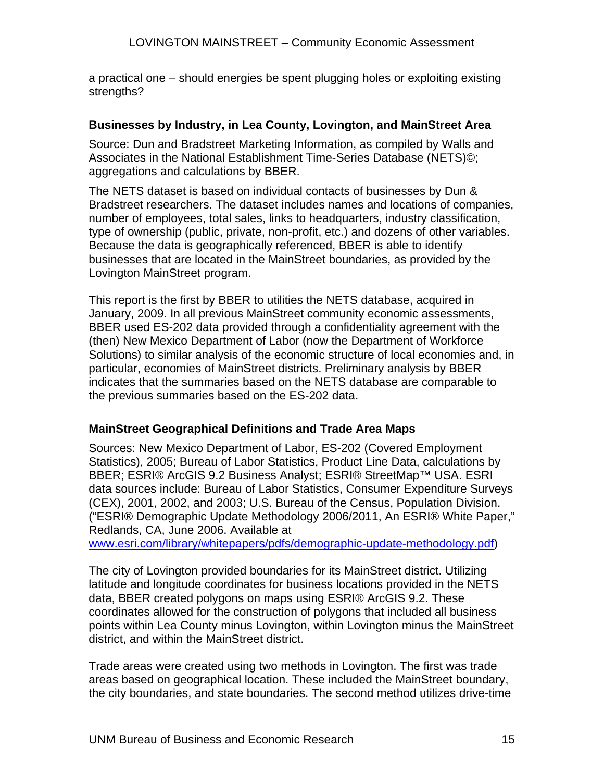a practical one – should energies be spent plugging holes or exploiting existing strengths?

### **Businesses by Industry, in Lea County, Lovington, and MainStreet Area**

Source: Dun and Bradstreet Marketing Information, as compiled by Walls and Associates in the National Establishment Time-Series Database (NETS)©; aggregations and calculations by BBER.

The NETS dataset is based on individual contacts of businesses by Dun & Bradstreet researchers. The dataset includes names and locations of companies, number of employees, total sales, links to headquarters, industry classification, type of ownership (public, private, non-profit, etc.) and dozens of other variables. Because the data is geographically referenced, BBER is able to identify businesses that are located in the MainStreet boundaries, as provided by the Lovington MainStreet program.

This report is the first by BBER to utilities the NETS database, acquired in January, 2009. In all previous MainStreet community economic assessments, BBER used ES-202 data provided through a confidentiality agreement with the (then) New Mexico Department of Labor (now the Department of Workforce Solutions) to similar analysis of the economic structure of local economies and, in particular, economies of MainStreet districts. Preliminary analysis by BBER indicates that the summaries based on the NETS database are comparable to the previous summaries based on the ES-202 data.

### **MainStreet Geographical Definitions and Trade Area Maps**

Sources: New Mexico Department of Labor, ES-202 (Covered Employment Statistics), 2005; Bureau of Labor Statistics, Product Line Data, calculations by BBER; ESRI® ArcGIS 9.2 Business Analyst; ESRI® StreetMap™ USA. ESRI data sources include: Bureau of Labor Statistics, Consumer Expenditure Surveys (CEX), 2001, 2002, and 2003; U.S. Bureau of the Census, Population Division. ("ESRI® Demographic Update Methodology 2006/2011, An ESRI® White Paper," Redlands, CA, June 2006. Available at

www.esri.com/library/whitepapers/pdfs/demographic-update-methodology.pdf)

The city of Lovington provided boundaries for its MainStreet district. Utilizing latitude and longitude coordinates for business locations provided in the NETS data, BBER created polygons on maps using ESRI® ArcGIS 9.2. These coordinates allowed for the construction of polygons that included all business points within Lea County minus Lovington, within Lovington minus the MainStreet district, and within the MainStreet district.

Trade areas were created using two methods in Lovington. The first was trade areas based on geographical location. These included the MainStreet boundary, the city boundaries, and state boundaries. The second method utilizes drive-time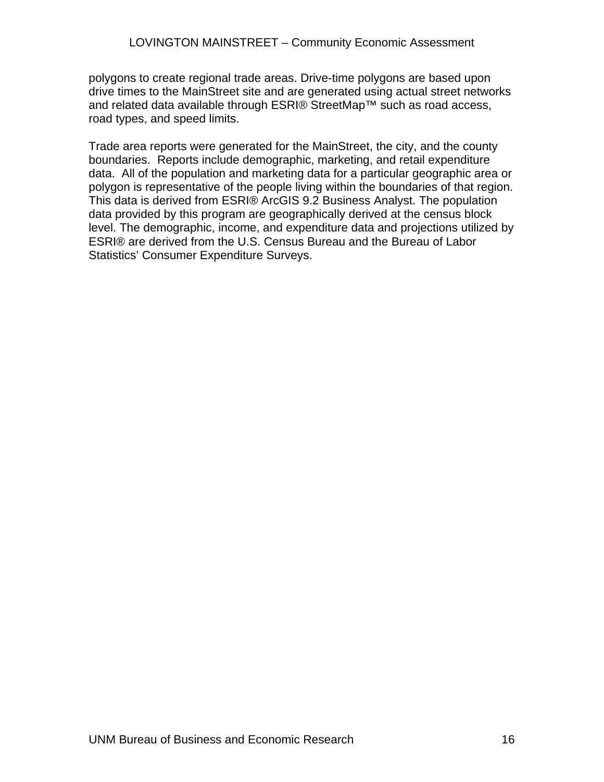polygons to create regional trade areas. Drive-time polygons are based upon drive times to the MainStreet site and are generated using actual street networks and related data available through ESRI® StreetMap™ such as road access, road types, and speed limits.

Trade area reports were generated for the MainStreet, the city, and the county boundaries. Reports include demographic, marketing, and retail expenditure data. All of the population and marketing data for a particular geographic area or polygon is representative of the people living within the boundaries of that region. This data is derived from ESRI® ArcGIS 9.2 Business Analyst. The population data provided by this program are geographically derived at the census block level. The demographic, income, and expenditure data and projections utilized by ESRI® are derived from the U.S. Census Bureau and the Bureau of Labor Statistics' Consumer Expenditure Surveys.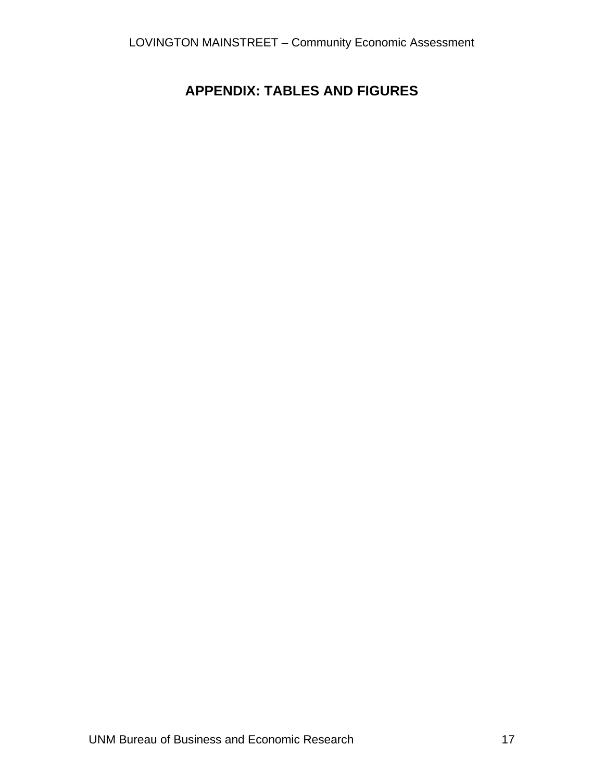### **APPENDIX: TABLES AND FIGURES**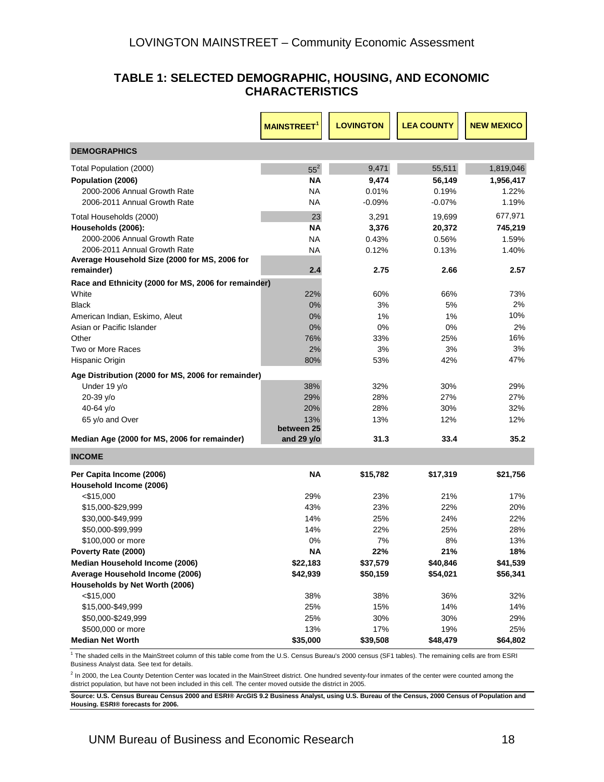#### **TABLE 1: SELECTED DEMOGRAPHIC, HOUSING, AND ECONOMIC CHARACTERISTICS**

|                                                      | <b>MAINSTREET<sup>1</sup></b> | <b>LOVINGTON</b> | <b>LEA COUNTY</b> | <b>NEW MEXICO</b> |
|------------------------------------------------------|-------------------------------|------------------|-------------------|-------------------|
| <b>DEMOGRAPHICS</b>                                  |                               |                  |                   |                   |
| Total Population (2000)                              | $55^2$                        | 9,471            | 55,511            | 1,819,046         |
| Population (2006)                                    | ΝA                            | 9,474            | 56,149            | 1,956,417         |
| 2000-2006 Annual Growth Rate                         | NA                            | 0.01%            | 0.19%             | 1.22%             |
| 2006-2011 Annual Growth Rate                         | <b>NA</b>                     | $-0.09%$         | $-0.07%$          | 1.19%             |
| Total Households (2000)                              | 23                            | 3,291            | 19,699            | 677,971           |
| Households (2006):                                   | ΝA                            | 3,376            | 20,372            | 745,219           |
| 2000-2006 Annual Growth Rate                         | ΝA                            | 0.43%            | 0.56%             | 1.59%             |
| 2006-2011 Annual Growth Rate                         | <b>NA</b>                     | 0.12%            | 0.13%             | 1.40%             |
| Average Household Size (2000 for MS, 2006 for        |                               |                  |                   |                   |
| remainder)                                           | 2.4                           | 2.75             | 2.66              | 2.57              |
| Race and Ethnicity (2000 for MS, 2006 for remainder) |                               |                  |                   |                   |
| White                                                | 22%                           | 60%              | 66%               | 73%               |
| <b>Black</b>                                         | 0%                            | 3%               | 5%                | 2%                |
| American Indian, Eskimo, Aleut                       | 0%                            | 1%               | $1\%$             | 10%               |
| Asian or Pacific Islander<br>Other                   | 0%                            | 0%               | 0%                | 2%<br>16%         |
| Two or More Races                                    | 76%<br>2%                     | 33%<br>3%        | 25%<br>3%         | 3%                |
| Hispanic Origin                                      | 80%                           | 53%              | 42%               | 47%               |
|                                                      |                               |                  |                   |                   |
| Age Distribution (2000 for MS, 2006 for remainder)   |                               |                  |                   |                   |
| Under 19 y/o                                         | 38%                           | 32%              | 30%               | 29%               |
| 20-39 y/o                                            | 29%<br>20%                    | 28%<br>28%       | 27%               | 27%               |
| 40-64 y/o<br>65 y/o and Over                         | 13%                           | 13%              | 30%<br>12%        | 32%<br>12%        |
|                                                      | between 25                    |                  |                   |                   |
| Median Age (2000 for MS, 2006 for remainder)         | and 29 y/o                    | 31.3             | 33.4              | 35.2              |
| <b>INCOME</b>                                        |                               |                  |                   |                   |
| Per Capita Income (2006)                             | <b>NA</b>                     | \$15,782         | \$17,319          | \$21,756          |
| Household Income (2006)                              |                               |                  |                   |                   |
| $<$ \$15,000                                         | 29%                           | 23%              | 21%               | 17%               |
| \$15,000-\$29,999                                    | 43%                           | 23%              | 22%               | 20%               |
| \$30,000-\$49,999                                    | 14%                           | 25%              | 24%               | 22%               |
| \$50,000-\$99,999                                    | 14%                           | 22%              | 25%               | 28%               |
| \$100,000 or more                                    | 0%                            | 7%               | 8%                | 13%               |
| Poverty Rate (2000)                                  | <b>NA</b>                     | 22%              | 21%               | 18%               |
| Median Household Income (2006)                       | \$22,183                      | \$37,579         | \$40,846          | \$41,539          |
| Average Household Income (2006)                      | \$42,939                      | \$50,159         | \$54,021          | \$56,341          |
| Households by Net Worth (2006)<br>$<$ \$15,000       | 38%                           | 38%              | 36%               | 32%               |
| \$15,000-\$49,999                                    | 25%                           | 15%              | 14%               | 14%               |
| \$50,000-\$249,999                                   | 25%                           | 30%              | 30%               | 29%               |
| \$500,000 or more                                    | 13%                           | 17%              | 19%               | 25%               |
| <b>Median Net Worth</b>                              | \$35,000                      | \$39,508         | \$48,479          | \$64,802          |

<sup>1</sup> The shaded cells in the MainStreet column of this table come from the U.S. Census Bureau's 2000 census (SF1 tables). The remaining cells are from ESRI Business Analyst data. See text for details.

<sup>2</sup> In 2000, the Lea County Detention Center was located in the MainStreet district. One hundred seventy-four inmates of the center were counted among the district population, but have not been included in this cell. The center moved outside the district in 2005.

**Source: U.S. Census Bureau Census 2000 and ESRI® ArcGIS 9.2 Business Analyst, using U.S. Bureau of the Census, 2000 Census of Population and Housing. ESRI® forecasts for 2006.**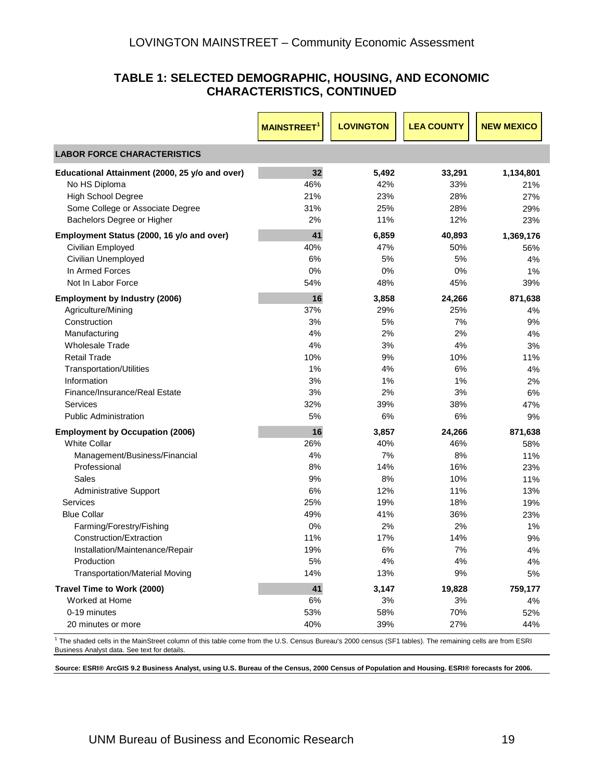#### **TABLE 1: SELECTED DEMOGRAPHIC, HOUSING, AND ECONOMIC CHARACTERISTICS, CONTINUED**

|                                                | <b>MAINSTREET</b> | <b>LOVINGTON</b> | <b>LEA COUNTY</b> | <b>NEW MEXICO</b> |
|------------------------------------------------|-------------------|------------------|-------------------|-------------------|
| <b>LABOR FORCE CHARACTERISTICS</b>             |                   |                  |                   |                   |
| Educational Attainment (2000, 25 y/o and over) | 32                | 5,492            | 33,291            | 1,134,801         |
| No HS Diploma                                  | 46%               | 42%              | 33%               | 21%               |
| <b>High School Degree</b>                      | 21%               | 23%              | 28%               | 27%               |
| Some College or Associate Degree               | 31%               | 25%              | 28%               | 29%               |
| Bachelors Degree or Higher                     | 2%                | 11%              | 12%               | 23%               |
| Employment Status (2000, 16 y/o and over)      | 41                | 6,859            | 40,893            | 1,369,176         |
| Civilian Employed                              | 40%               | 47%              | 50%               | 56%               |
| Civilian Unemployed                            | 6%                | 5%               | 5%                | 4%                |
| In Armed Forces                                | 0%                | 0%               | 0%                | 1%                |
| Not In Labor Force                             | 54%               | 48%              | 45%               | 39%               |
| <b>Employment by Industry (2006)</b>           | 16                | 3,858            | 24,266            | 871,638           |
| Agriculture/Mining                             | 37%               | 29%              | 25%               | 4%                |
| Construction                                   | 3%                | 5%               | 7%                | 9%                |
| Manufacturing                                  | 4%                | 2%               | 2%                | 4%                |
| <b>Wholesale Trade</b>                         | 4%                | 3%               | 4%                | 3%                |
| <b>Retail Trade</b>                            | 10%               | 9%               | 10%               | 11%               |
| <b>Transportation/Utilities</b>                | 1%                | 4%               | 6%                | 4%                |
| Information                                    | 3%                | 1%               | 1%                | 2%                |
| Finance/Insurance/Real Estate                  | 3%                | 2%               | 3%                | 6%                |
| Services                                       | 32%               | 39%              | 38%               | 47%               |
| <b>Public Administration</b>                   | 5%                | 6%               | 6%                | 9%                |
| <b>Employment by Occupation (2006)</b>         | 16                | 3,857            | 24,266            | 871,638           |
| <b>White Collar</b>                            | 26%               | 40%              | 46%               | 58%               |
| Management/Business/Financial                  | 4%                | 7%               | 8%                | 11%               |
| Professional                                   | 8%                | 14%              | 16%               | 23%               |
| Sales                                          | 9%                | 8%               | 10%               | 11%               |
| <b>Administrative Support</b>                  | 6%                | 12%              | 11%               | 13%               |
| Services                                       | 25%               | 19%              | 18%               | 19%               |
| <b>Blue Collar</b>                             | 49%               | 41%              | 36%               | 23%               |
| Farming/Forestry/Fishing                       | 0%                | 2%               | 2%                | 1%                |
| Construction/Extraction                        | 11%               | 17%              | 14%               | 9%                |
| Installation/Maintenance/Repair                | 19%               | 6%               | 7%                | 4%                |
| Production                                     | 5%                | 4%               | 4%                | 4%                |
| <b>Transportation/Material Moving</b>          | 14%               | 13%              | 9%                | 5%                |
| Travel Time to Work (2000)                     | 41                | 3,147            | 19,828            | 759,177           |
| Worked at Home                                 | 6%                | 3%               | 3%                | 4%                |
| 0-19 minutes                                   | 53%               | 58%              | 70%               | 52%               |
| 20 minutes or more                             | 40%               | 39%              | 27%               | 44%               |

<sup>1</sup> The shaded cells in the MainStreet column of this table come from the U.S. Census Bureau's 2000 census (SF1 tables). The remaining cells are from ESRI Business Analyst data. See text for details.

**Source: ESRI® ArcGIS 9.2 Business Analyst, using U.S. Bureau of the Census, 2000 Census of Population and Housing. ESRI® forecasts for 2006.**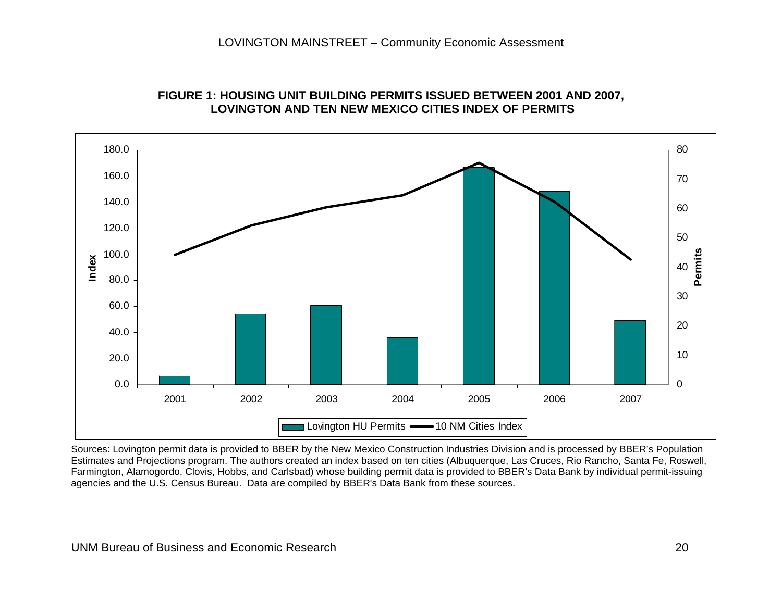

### **FIGURE 1: HOUSING UNIT BUILDING PERMITS ISSUED BETWEEN 2001 AND 2007, LOVINGTON AND TEN NEW MEXICO CITIES INDEX OF PERMITS**

Sources: Lovington permit data is provided to BBER by the New Mexico Construction Industries Division and is processed by BBER's Population Estimates and Projections program. The authors created an index based on ten cities (Albuquerque, Las Cruces, Rio Rancho, Santa Fe, Roswell, Farmington, Alamogordo, Clovis, Hobbs, and Carlsbad) whose building permit data is provided to BBER's Data Bank by individual permit-issuing agencies and the U.S. Census Bureau. Data are compiled by BBER's Data Bank from these sources.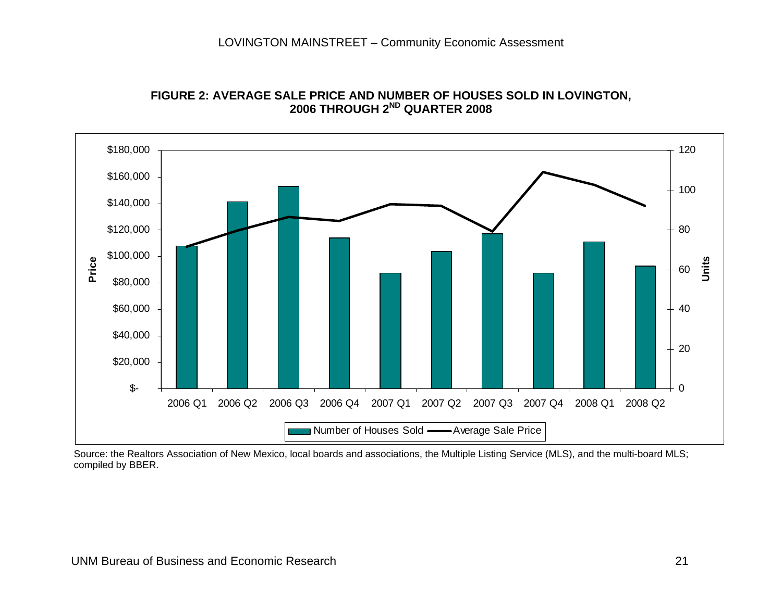

**FIGURE 2: AVERAGE SALE PRICE AND NUMBER OF HOUSES SOLD IN LOVINGTON, 2006 THROUGH 2ND QUARTER 2008**

 Source: the Realtors Association of New Mexico, local boards and associations, the Multiple Listing Service (MLS), and the multi-board MLS; compiled by BBER.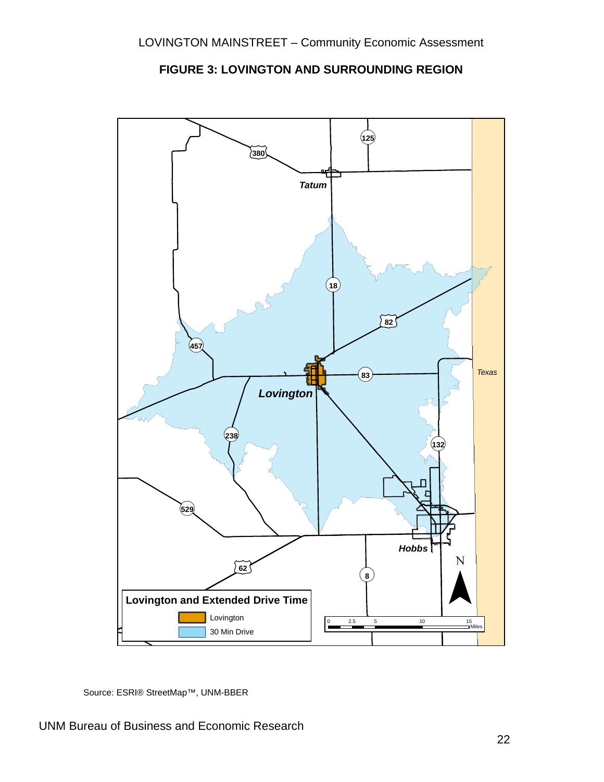

**FIGURE 3: LOVINGTON AND SURROUNDING REGION** 

Source: ESRI® StreetMap™, UNM-BBER

UNM Bureau of Business and Economic Research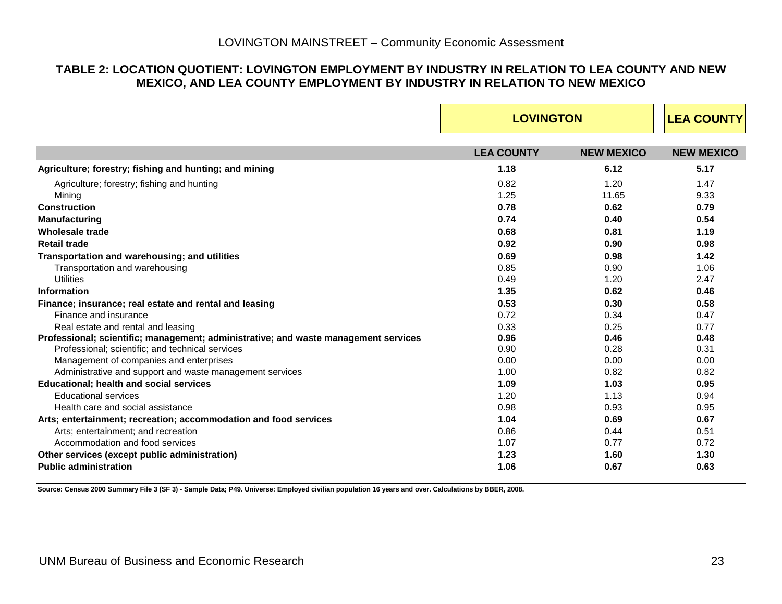### **TABLE 2: LOCATION QUOTIENT: LOVINGTON EMPLOYMENT BY INDUSTRY IN RELATION TO LEA COUNTY AND NEW MEXICO, AND LEA COUNTY EMPLOYMENT BY INDUSTRY IN RELATION TO NEW MEXICO**

|                                                                                                                                                     | <b>LOVINGTON</b>  | <b>LEA COUNTY</b> |                   |
|-----------------------------------------------------------------------------------------------------------------------------------------------------|-------------------|-------------------|-------------------|
|                                                                                                                                                     | <b>LEA COUNTY</b> | <b>NEW MEXICO</b> | <b>NEW MEXICO</b> |
| Agriculture; forestry; fishing and hunting; and mining                                                                                              | 1.18              | 6.12              | 5.17              |
| Agriculture; forestry; fishing and hunting                                                                                                          | 0.82              | 1.20              | 1.47              |
| Mining                                                                                                                                              | 1.25              | 11.65             | 9.33              |
| Construction                                                                                                                                        | 0.78              | 0.62              | 0.79              |
| <b>Manufacturing</b>                                                                                                                                | 0.74              | 0.40              | 0.54              |
| <b>Wholesale trade</b>                                                                                                                              | 0.68              | 0.81              | 1.19              |
| <b>Retail trade</b>                                                                                                                                 | 0.92              | 0.90              | 0.98              |
| Transportation and warehousing; and utilities                                                                                                       | 0.69              | 0.98              | 1.42              |
| Transportation and warehousing                                                                                                                      | 0.85              | 0.90              | 1.06              |
| <b>Utilities</b>                                                                                                                                    | 0.49              | 1.20              | 2.47              |
| <b>Information</b>                                                                                                                                  | 1.35              | 0.62              | 0.46              |
| Finance; insurance; real estate and rental and leasing                                                                                              | 0.53              | 0.30              | 0.58              |
| Finance and insurance                                                                                                                               | 0.72              | 0.34              | 0.47              |
| Real estate and rental and leasing                                                                                                                  | 0.33              | 0.25              | 0.77              |
| Professional; scientific; management; administrative; and waste management services                                                                 | 0.96              | 0.46              | 0.48              |
| Professional; scientific; and technical services                                                                                                    | 0.90              | 0.28              | 0.31              |
| Management of companies and enterprises                                                                                                             | 0.00              | 0.00              | 0.00              |
| Administrative and support and waste management services                                                                                            | 1.00              | 0.82              | 0.82              |
| <b>Educational; health and social services</b>                                                                                                      | 1.09              | 1.03              | 0.95              |
| <b>Educational services</b>                                                                                                                         | 1.20              | 1.13              | 0.94              |
| Health care and social assistance                                                                                                                   | 0.98              | 0.93              | 0.95              |
| Arts; entertainment; recreation; accommodation and food services                                                                                    | 1.04              | 0.69              | 0.67              |
| Arts; entertainment; and recreation                                                                                                                 | 0.86              | 0.44              | 0.51              |
| Accommodation and food services                                                                                                                     | 1.07              | 0.77              | 0.72              |
| Other services (except public administration)                                                                                                       | 1.23              | 1.60              | 1.30              |
| <b>Public administration</b>                                                                                                                        | 1.06              | 0.67              | 0.63              |
| Source: Census 2000 Summary File 3 (SF 3) - Sample Data; P49. Universe: Employed civilian population 16 years and over. Calculations by BBER, 2008. |                   |                   |                   |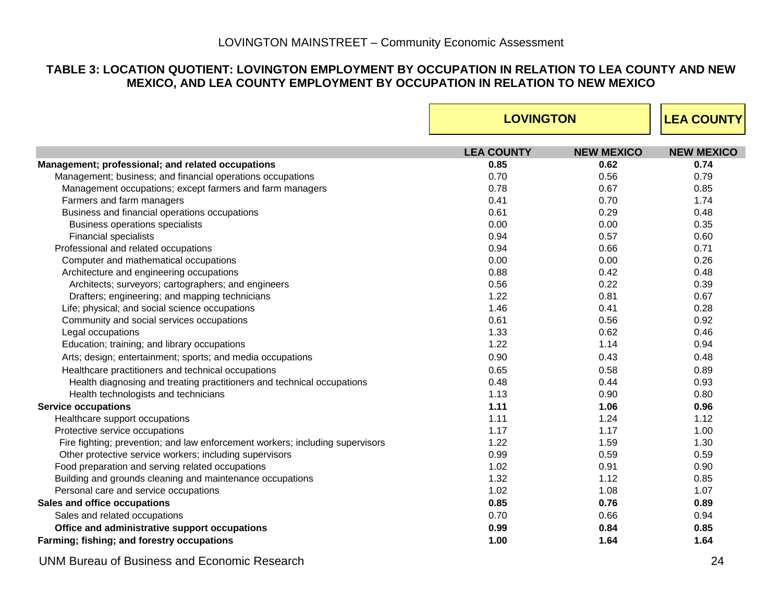### **TABLE 3: LOCATION QUOTIENT: LOVINGTON EMPLOYMENT BY OCCUPATION IN RELATION TO LEA COUNTY AND NEW MEXICO, AND LEA COUNTY EMPLOYMENT BY OCCUPATION IN RELATION TO NEW MEXICO**

|                                                                               | <b>LOVINGTON</b>  | <b>LEA COUNTY</b> |                   |
|-------------------------------------------------------------------------------|-------------------|-------------------|-------------------|
|                                                                               | <b>LEA COUNTY</b> | <b>NEW MEXICO</b> | <b>NEW MEXICO</b> |
| Management; professional; and related occupations                             | 0.85              | 0.62              | 0.74              |
| Management; business; and financial operations occupations                    | 0.70              | 0.56              | 0.79              |
| Management occupations; except farmers and farm managers                      | 0.78              | 0.67              | 0.85              |
| Farmers and farm managers                                                     | 0.41              | 0.70              | 1.74              |
| Business and financial operations occupations                                 | 0.61              | 0.29              | 0.48              |
| Business operations specialists                                               | 0.00              | 0.00              | 0.35              |
| <b>Financial specialists</b>                                                  | 0.94              | 0.57              | 0.60              |
| Professional and related occupations                                          | 0.94              | 0.66              | 0.71              |
| Computer and mathematical occupations                                         | 0.00              | 0.00              | 0.26              |
| Architecture and engineering occupations                                      | 0.88              | 0.42              | 0.48              |
| Architects; surveyors; cartographers; and engineers                           | 0.56              | 0.22              | 0.39              |
| Drafters; engineering; and mapping technicians                                | 1.22              | 0.81              | 0.67              |
| Life; physical; and social science occupations                                | 1.46              | 0.41              | 0.28              |
| Community and social services occupations                                     | 0.61              | 0.56              | 0.92              |
| Legal occupations                                                             | 1.33              | 0.62              | 0.46              |
| Education; training; and library occupations                                  | 1.22              | 1.14              | 0.94              |
| Arts; design; entertainment; sports; and media occupations                    | 0.90              | 0.43              | 0.48              |
| Healthcare practitioners and technical occupations                            | 0.65              | 0.58              | 0.89              |
| Health diagnosing and treating practitioners and technical occupations        | 0.48              | 0.44              | 0.93              |
| Health technologists and technicians                                          | 1.13              | 0.90              | 0.80              |
| <b>Service occupations</b>                                                    | 1.11              | 1.06              | 0.96              |
| Healthcare support occupations                                                | 1.11              | 1.24              | 1.12              |
| Protective service occupations                                                | 1.17              | 1.17              | 1.00              |
| Fire fighting; prevention; and law enforcement workers; including supervisors | 1.22              | 1.59              | 1.30              |
| Other protective service workers; including supervisors                       | 0.99              | 0.59              | 0.59              |
| Food preparation and serving related occupations                              | 1.02              | 0.91              | 0.90              |
| Building and grounds cleaning and maintenance occupations                     | 1.32              | 1.12              | 0.85              |
| Personal care and service occupations                                         | 1.02              | 1.08              | 1.07              |
| Sales and office occupations                                                  | 0.85              | 0.76              | 0.89              |
| Sales and related occupations                                                 | 0.70              | 0.66              | 0.94              |
| Office and administrative support occupations                                 | 0.99              | 0.84              | 0.85              |
| Farming; fishing; and forestry occupations                                    | 1.00              | 1.64              | 1.64              |

UNM Bureau of Business and Economic Research 24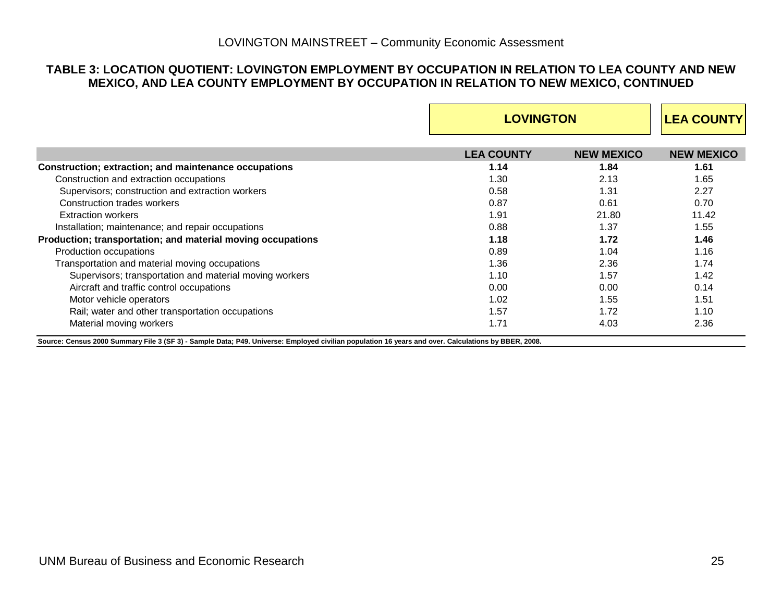#### **TABLE 3: LOCATION QUOTIENT: LOVINGTON EMPLOYMENT BY OCCUPATION IN RELATION TO LEA COUNTY AND NEW MEXICO, AND LEA COUNTY EMPLOYMENT BY OCCUPATION IN RELATION TO NEW MEXICO, CONTINUED**

|                                                                                                                                                                                | <b>LOVINGTON</b>  | <b>LEA COUNTY</b> |                   |
|--------------------------------------------------------------------------------------------------------------------------------------------------------------------------------|-------------------|-------------------|-------------------|
|                                                                                                                                                                                | <b>LEA COUNTY</b> | <b>NEW MEXICO</b> | <b>NEW MEXICO</b> |
| Construction; extraction; and maintenance occupations                                                                                                                          | 1.14              | 1.84              | 1.61              |
| Construction and extraction occupations                                                                                                                                        | 1.30              | 2.13              | 1.65              |
| Supervisors; construction and extraction workers                                                                                                                               | 0.58              | 1.31              | 2.27              |
| Construction trades workers                                                                                                                                                    | 0.87              | 0.61              | 0.70              |
| <b>Extraction workers</b>                                                                                                                                                      | 1.91              | 21.80             | 11.42             |
| Installation; maintenance; and repair occupations                                                                                                                              | 0.88              | 1.37              | 1.55              |
| Production; transportation; and material moving occupations                                                                                                                    | 1.18              | 1.72              | 1.46              |
| Production occupations                                                                                                                                                         | 0.89              | 1.04              | 1.16              |
| Transportation and material moving occupations                                                                                                                                 | 1.36              | 2.36              | 1.74              |
| Supervisors; transportation and material moving workers                                                                                                                        | 1.10              | 1.57              | 1.42              |
| Aircraft and traffic control occupations                                                                                                                                       | 0.00              | 0.00              | 0.14              |
| Motor vehicle operators                                                                                                                                                        | 1.02              | 1.55              | 1.51              |
| Rail; water and other transportation occupations                                                                                                                               | 1.57              | 1.72              | 1.10              |
| Material moving workers<br>Source: Census 2000 Summary File 3 (SF 3) - Sample Data; P49. Universe: Employed civilian population 16 years and over. Calculations by BBER, 2008. | 1.71              | 4.03              | 2.36              |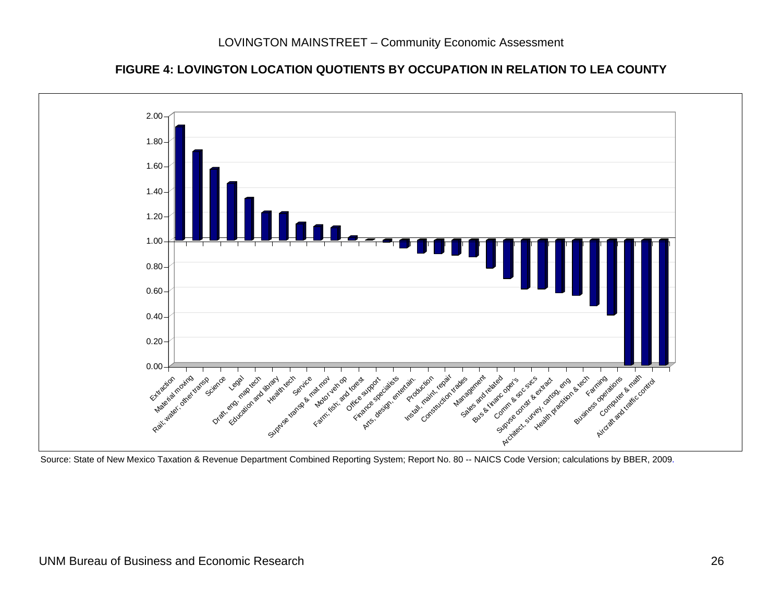



Source: State of New Mexico Taxation & Revenue Department Combined Reporting System; Report No. 80 -- NAICS Code Version; calculations by BBER, 2009.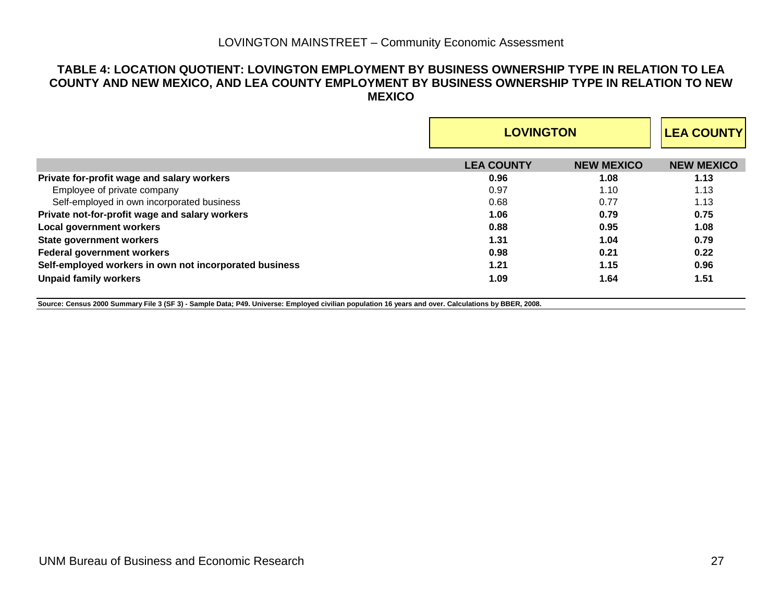#### **TABLE 4: LOCATION QUOTIENT: LOVINGTON EMPLOYMENT BY BUSINESS OWNERSHIP TYPE IN RELATION TO LEA COUNTY AND NEW MEXICO, AND LEA COUNTY EMPLOYMENT BY BUSINESS OWNERSHIP TYPE IN RELATION TO NEW MEXICO**

|                                                        |                   | <b>LOVINGTON</b>  |                   |  |
|--------------------------------------------------------|-------------------|-------------------|-------------------|--|
|                                                        | <b>LEA COUNTY</b> | <b>NEW MEXICO</b> | <b>NEW MEXICO</b> |  |
| Private for-profit wage and salary workers             | 0.96              | 1.08              | 1.13              |  |
| Employee of private company                            | 0.97              | 1.10              | 1.13              |  |
| Self-employed in own incorporated business             | 0.68              | 0.77              | 1.13              |  |
| Private not-for-profit wage and salary workers         | 1.06              | 0.79              | 0.75              |  |
| <b>Local government workers</b>                        | 0.88              | 0.95              | 1.08              |  |
| <b>State government workers</b>                        | 1.31              | 1.04              | 0.79              |  |
| <b>Federal government workers</b>                      | 0.98              | 0.21              | 0.22              |  |
| Self-employed workers in own not incorporated business | 1.21              | 1.15              | 0.96              |  |
| <b>Unpaid family workers</b>                           | 1.09              | 1.64              | 1.51              |  |

**Source: Census 2000 Summary File 3 (SF 3) - Sample Data; P49. Universe: Employed civilian population 16 years and over. Calculations by BBER, 2008.**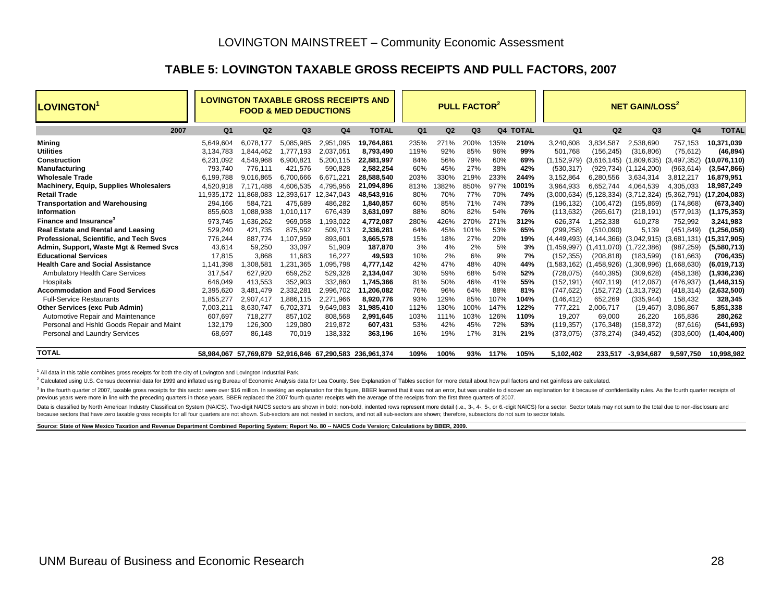### **TABLE 5: LOVINGTON TAXABLE GROSS RECEIPTS AND PULL FACTORS, 2007**

| <b>LOVINGTON</b>                              |            |            | <b>LOVINGTON TAXABLE GROSS RECEIPTS AND</b><br><b>FOOD &amp; MED DEDUCTIONS</b> |                |                                                         |                |       | <b>PULL FACTOR<sup>2</sup></b> |      |          |                |                                     | <b>NET GAIN/LOSS<sup>2</sup></b> |                |                |
|-----------------------------------------------|------------|------------|---------------------------------------------------------------------------------|----------------|---------------------------------------------------------|----------------|-------|--------------------------------|------|----------|----------------|-------------------------------------|----------------------------------|----------------|----------------|
| 2007                                          | Q1         | Q2         | Q <sub>3</sub>                                                                  | Q <sub>4</sub> | <b>TOTAL</b>                                            | Q <sub>1</sub> | Q2    | Q3                             |      | Q4 TOTAL | Q <sub>1</sub> | Q2                                  | Q <sub>3</sub>                   | Q <sub>4</sub> | <b>TOTAL</b>   |
| Mining                                        | 5.649.604  | 6.078.177  | 5.085.985                                                                       | 2.951.095      | 19.764.861                                              | 235%           | 271%  | 200%                           | 135% | 210%     | 3.240.608      | 3.834.587                           | 2.538.690                        | 757.153        | 10.371.039     |
| <b>Utilities</b>                              | 3.134.783  | 844,462.   | 1.777.193                                                                       | 2.037.051      | 8,793,490                                               | 119%           | 92%   | 85%                            | 96%  | 99%      | 501.768        | (156, 245)                          | (316, 806)                       | (75, 612)      | (46, 894)      |
| <b>Construction</b>                           | 6.231.092  | 4.549.968  | 6.900.821                                                                       | 5.200.115      | 22.881.997                                              | 84%            | 56%   | 79%                            | 60%  | 69%      | (1,152,979)    | (3.616.145)                         | (1,809,635)                      | (3,497,352)    | (10,076,110)   |
| <b>Manufacturing</b>                          | 793,740    | 776.111    | 421.576                                                                         | 590.828        | 2.582.254                                               | 60%            | 45%   | 27%                            | 38%  | 42%      | (530, 317)     | (929, 734)                          | (1, 124, 200)                    | (963, 614)     | (3,547,866)    |
| <b>Wholesale Trade</b>                        | 6,199,788  | 9.016.865  | 6.700.666                                                                       | 6,671,22       | 28,588,540                                              | 203%           | 330%  | 219%                           | 233% | 244%     | 3,152,864      | 6.280.556                           | 3,634,314                        | 3,812,217      | 16,879,951     |
| <b>Machinery, Equip, Supplies Wholesalers</b> | 4,520,918  | 7.171.488  | 4.606.535                                                                       | 4,795,956      | 21,094,896                                              | 813%           | 1382% | 850%                           | 977% | 1001%    | 3,964,933      | 6.652.744                           | 4,064,539                        | 4,305,033      | 18,987,249     |
| <b>Retail Trade</b>                           | 11.935.172 | 11.868.083 | 12,393,617                                                                      | 12.347.043     | 48.543.916                                              | 80%            | 70%   | 77%                            | 70%  | 74%      | (3,000,634)    | (5.128.334)                         | (3,712,324)                      | (5,362,791)    | (17, 204, 083) |
| <b>Transportation and Warehousing</b>         | 294,166    | 584.721    | 475.689                                                                         | 486,282        | 1,840,857                                               | 60%            | 85%   | 71%                            | 74%  | 73%      | (196.132)      | (106.472)                           | (195, 869)                       | (174, 868)     | (673, 340)     |
| Information                                   | 855,603    | 1.088.938  | 1,010,117                                                                       | 676.439        | 3.631.097                                               | 88%            | 80%   | 82%                            | 54%  | 76%      | (113, 632)     | (265, 617)                          | (218, 191)                       | (577, 913)     | (1, 175, 353)  |
| Finance and Insurance <sup>3</sup>            | 973.745    | 1.636.262  | 969.058                                                                         | .193.022       | 4.772.087                                               | 280%           | 426%  | 270%                           | 271% | 312%     | 626.374        | .252.338                            | 610.278                          | 752.992        | 3.241.983      |
| <b>Real Estate and Rental and Leasing</b>     | 529,240    | 421.735    | 875.592                                                                         | 509.713        | 2.336.281                                               | 64%            | 45%   | 101%                           | 53%  | 65%      | (299, 258)     | (510,090)                           | 5,139                            | (451, 849)     | (1,256,058)    |
| Professional, Scientific, and Tech Svcs       | 776,244    | 887,774    | 1,107,959                                                                       | 893,601        | 3,665,578                                               | 15%            | 18%   | 27%                            | 20%  | 19%      | (4, 449, 493)  | $(4, 144, 366)$ $(3, 042, 915)$     |                                  | (3,681,131)    | (15, 317, 905) |
| Admin, Support, Waste Mgt & Remed Svcs        | 43.614     | 59.250     | 33.097                                                                          | 51,909         | 187.870                                                 | 3%             | 4%    | 2%                             | 5%   | 3%       |                | (1,459,997) (1,411,070) (1,722,386) |                                  | (987, 259)     | (5,580,713)    |
| <b>Educational Services</b>                   | 17,815     | 3.868      | 11.683                                                                          | 16,227         | 49,593                                                  | 10%            | 2%    | 6%                             | 9%   | 7%       | (152, 355)     | (208, 818)                          | (183, 599)                       | (161, 663)     | (706, 435)     |
| <b>Health Care and Social Assistance</b>      | 1.141.398  | .308.581   | 1.231.365                                                                       | 1,095,798      | 4.777.142                                               | 42%            | 47%   | 48%                            | 40%  | 44%      | (1.583.162)    | (1.458.926)                         | (1.308.996)                      | .668.630       | (6,019,713)    |
| <b>Ambulatory Health Care Services</b>        | 317,547    | 627.920    | 659.252                                                                         | 529.328        | 2.134.047                                               | 30%            | 59%   | 68%                            | 54%  | 52%      | (728.075)      | (440.395)                           | (309.628)                        | (458.138)      | (1,936,236)    |
| Hospitals                                     | 646.049    | 413.553    | 352.903                                                                         | 332.860        | 1.745.366                                               | 81%            | 50%   | 46%                            | 41%  | 55%      | (152.191)      | (407.119)                           | (412.067)                        | (476, 937)     | (1,448,315)    |
| <b>Accommodation and Food Services</b>        | 2,395,620  | 3.481.479  | 2,332,281                                                                       | 2,996,702      | 11,206,082                                              | 76%            | 96%   | 64%                            | 88%  | 81%      | (747, 622)     | (152, 772)                          | (1,313,792)                      | (418, 314)     | (2,632,500)    |
| <b>Full-Service Restaurants</b>               | 1.855.277  | 2,907,417  | 1,886,115                                                                       | 2.271.966      | 8,920,776                                               | 93%            | 129%  | 85%                            | 107% | 104%     | (146, 412)     | 652.269                             | (335, 944)                       | 158.432        | 328,345        |
| Other Services (exc Pub Admin)                | 7,003,211  | 8.630.747  | 6,702,371                                                                       | 9,649,083      | 31,985,410                                              | 112%           | 130%  | 100%                           | 147% | 122%     | 777,221        | 2.006.717                           | (19, 467)                        | 3,086,867      | 5,851,338      |
| Automotive Repair and Maintenance             | 607,697    | 718,277    | 857,102                                                                         | 808,568        | 2,991,645                                               | 103%           | 111%  | 103%                           | 126% | 110%     | 19,207         | 69,000                              | 26,220                           | 165,836        | 280,262        |
| Personal and Hshld Goods Repair and Maint     | 132,179    | 126,300    | 129,080                                                                         | 219,872        | 607.431                                                 | 53%            | 42%   | 45%                            | 72%  | 53%      | (119, 357)     | (176,348)                           | (158,372)                        | (87, 616)      | (541, 693)     |
| Personal and Laundry Services                 | 68,697     | 86,148     | 70,019                                                                          | 138,332        | 363,196                                                 | 16%            | 19%   | 17%                            | 31%  | 21%      | (373, 075)     | (378, 274)                          | (349, 452)                       | (303,600)      | (1,404,400)    |
| <b>TOTAL</b>                                  |            |            |                                                                                 |                | 58.984.067 57.769.879 52.916.846 67.290.583 236.961.374 | 109%           | 100%  | 93%                            | 117% | 105%     | 5,102,402      | 233.517                             | $-3,934,687$                     | 9.597.750      | 10.998.982     |

 $1$  All data in this table combines gross receipts for both the city of Lovington and Lovington Industrial Park.

<sup>2</sup> Calculated using U.S. Census decennial data for 1999 and inflated using Bureau of Economic Analysis data for Lea County. See Explanation of Tables section for more detail about how pull factors and net gain/loss are ca

3 In the fourth quarter of 2007, taxable gross receipts for this sector were over \$16 million. In seeking an explanation for this figure, BBER learned that it was not an error, but was unable to discover an explanation for previous years were more in line with the preceding quarters in those years, BBER replaced the 2007 fourth quarter receipts with the average of the receipts from the first three quarters of 2007.

Data is classified by North American Industry Classification System (NAICS). Two-digit NAICS sectors are shown in bold; non-bold, indented rows represent more detail (i.e., 3-, 4-, 5-, or 6.-digit NAICS) for a sector. Sect because sectors that have zero taxable gross receipts for all four quarters are not shown. Sub-sectors are not nested in sectors, and not all sub-sectors are shown; therefore, subsectors do not sum to sector totals.

**Source: State of New Mexico Taxation and Revenue Department Combined Reporting System; Report No. 80 -- NAICS Code Version; Calculations by BBER, 2009.**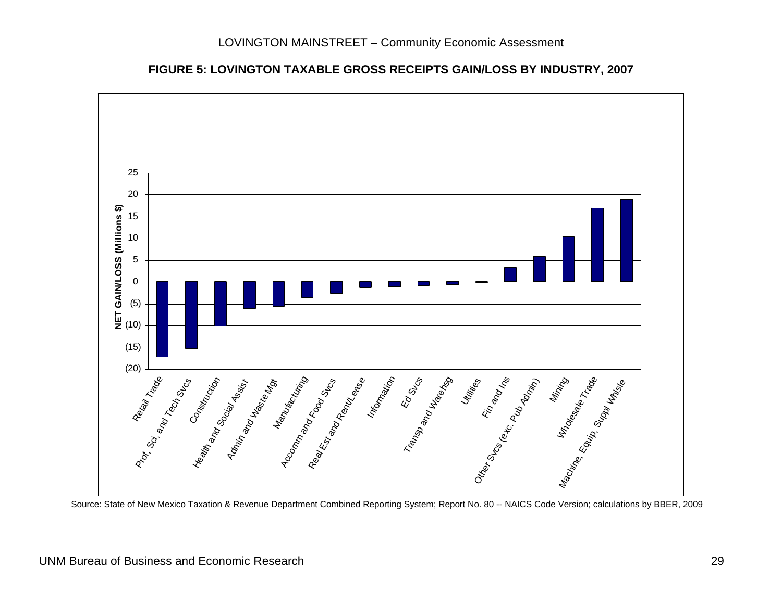



Source: State of New Mexico Taxation & Revenue Department Combined Reporting System; Report No. 80 -- NAICS Code Version; calculations by BBER, 2009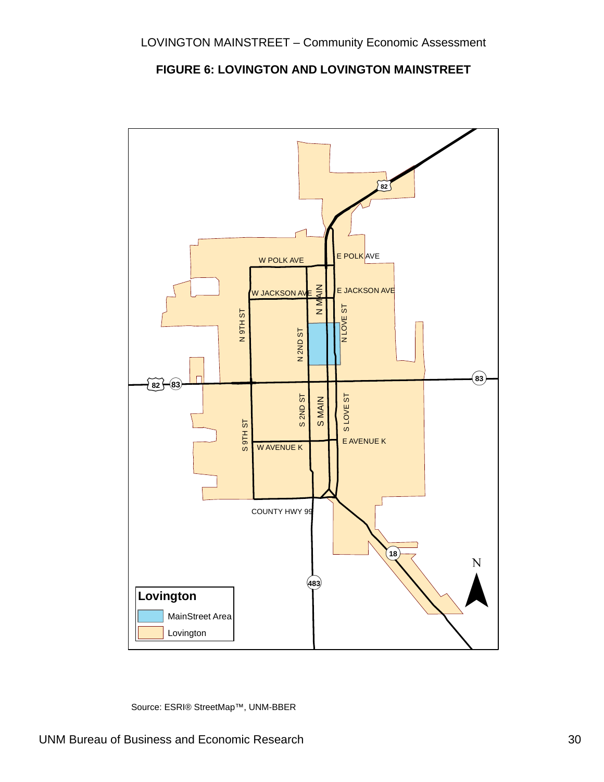



Source: ESRI® StreetMap™, UNM-BBER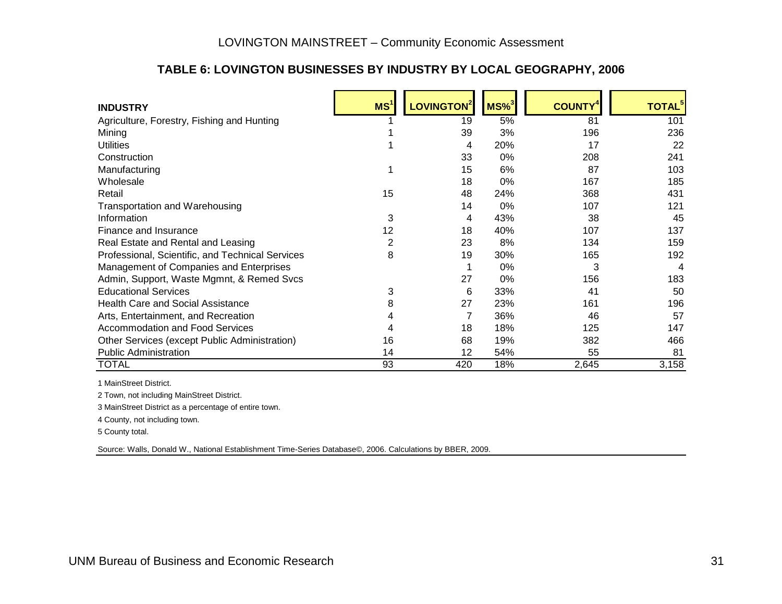### **TABLE 6: LOVINGTON BUSINESSES BY INDUSTRY BY LOCAL GEOGRAPHY, 2006**

| <b>INDUSTRY</b>                                  | MS <sup>1</sup> | LOVINGTON <sup>2</sup> | $MS\%$ <sup>3</sup> | <b>COUNTY<sup>4</sup></b> | <b>TOTAL</b> <sup>5</sup> |
|--------------------------------------------------|-----------------|------------------------|---------------------|---------------------------|---------------------------|
| Agriculture, Forestry, Fishing and Hunting       |                 | 19                     | 5%                  | 81                        | 101                       |
| Mining                                           |                 | 39                     | 3%                  | 196                       | 236                       |
| <b>Utilities</b>                                 |                 | 4                      | 20%                 | 17                        | 22                        |
| Construction                                     |                 | 33                     | $0\%$               | 208                       | 241                       |
| Manufacturing                                    |                 | 15                     | 6%                  | 87                        | 103                       |
| Wholesale                                        |                 | 18                     | 0%                  | 167                       | 185                       |
| Retail                                           | 15              | 48                     | 24%                 | 368                       | 431                       |
| <b>Transportation and Warehousing</b>            |                 | 14                     | 0%                  | 107                       | 121                       |
| Information                                      | 3               | 4                      | 43%                 | 38                        | 45                        |
| Finance and Insurance                            | 12              | 18                     | 40%                 | 107                       | 137                       |
| Real Estate and Rental and Leasing               | 2               | 23                     | 8%                  | 134                       | 159                       |
| Professional, Scientific, and Technical Services | 8               | 19                     | 30%                 | 165                       | 192                       |
| Management of Companies and Enterprises          |                 |                        | 0%                  | 3                         | 4                         |
| Admin, Support, Waste Mgmnt, & Remed Svcs        |                 | 27                     | 0%                  | 156                       | 183                       |
| <b>Educational Services</b>                      | 3               | 6                      | 33%                 | 41                        | 50                        |
| <b>Health Care and Social Assistance</b>         | 8               | 27                     | 23%                 | 161                       | 196                       |
| Arts, Entertainment, and Recreation              |                 | 7                      | 36%                 | 46                        | 57                        |
| Accommodation and Food Services                  |                 | 18                     | 18%                 | 125                       | 147                       |
| Other Services (except Public Administration)    | 16              | 68                     | 19%                 | 382                       | 466                       |
| <b>Public Administration</b>                     | 14              | 12                     | 54%                 | 55                        | 81                        |
| TOTAL                                            | 93              | 420                    | 18%                 | 2,645                     | 3,158                     |

1 MainStreet District.

2 Town, not including MainStreet District.

3 MainStreet District as a percentage of entire town.

4 County, not including town.

5 County total.

Source: Walls, Donald W., National Establishment Time-Series Database©, 2006. Calculations by BBER, 2009.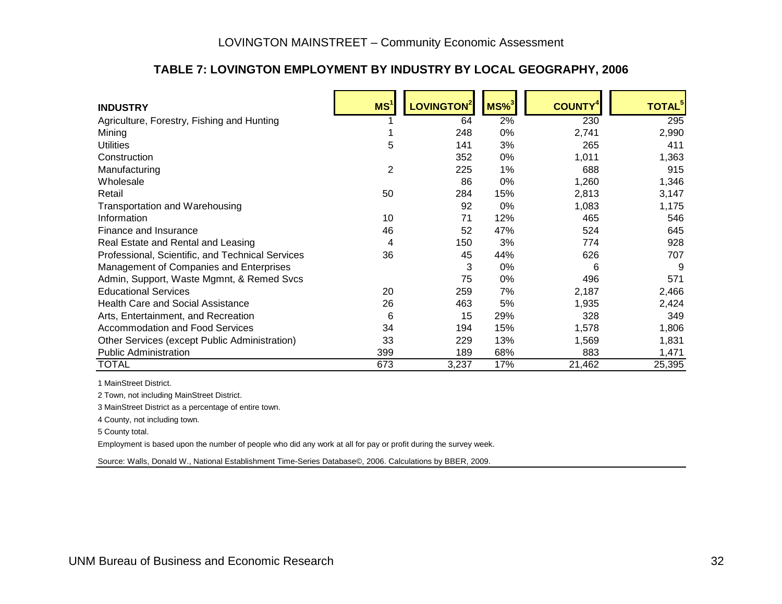### **TABLE 7: LOVINGTON EMPLOYMENT BY INDUSTRY BY LOCAL GEOGRAPHY, 2006**

| <b>INDUSTRY</b>                                  | MS <sup>1</sup> | LOVINGTON <sup>2</sup> | $MS\%$ <sup>3</sup> | <b>COUNTY<sup>4</sup></b> | <b>TOTAL</b> <sup>5</sup> |
|--------------------------------------------------|-----------------|------------------------|---------------------|---------------------------|---------------------------|
| Agriculture, Forestry, Fishing and Hunting       |                 | 64                     | 2%                  | 230                       | 295                       |
| Mining                                           |                 | 248                    | 0%                  | 2,741                     | 2,990                     |
| <b>Utilities</b>                                 | 5               | 141                    | 3%                  | 265                       | 411                       |
| Construction                                     |                 | 352                    | 0%                  | 1,011                     | 1,363                     |
| Manufacturing                                    | 2               | 225                    | 1%                  | 688                       | 915                       |
| Wholesale                                        |                 | 86                     | 0%                  | 1,260                     | 1,346                     |
| Retail                                           | 50              | 284                    | 15%                 | 2,813                     | 3,147                     |
| <b>Transportation and Warehousing</b>            |                 | 92                     | 0%                  | 1,083                     | 1,175                     |
| Information                                      | 10              | 71                     | 12%                 | 465                       | 546                       |
| Finance and Insurance                            | 46              | 52                     | 47%                 | 524                       | 645                       |
| Real Estate and Rental and Leasing               | 4               | 150                    | 3%                  | 774                       | 928                       |
| Professional, Scientific, and Technical Services | 36              | 45                     | 44%                 | 626                       | 707                       |
| Management of Companies and Enterprises          |                 | 3                      | 0%                  | 6                         | -9                        |
| Admin, Support, Waste Mgmnt, & Remed Svcs        |                 | 75                     | 0%                  | 496                       | 571                       |
| <b>Educational Services</b>                      | 20              | 259                    | 7%                  | 2,187                     | 2,466                     |
| <b>Health Care and Social Assistance</b>         | 26              | 463                    | 5%                  | 1,935                     | 2,424                     |
| Arts, Entertainment, and Recreation              | 6               | 15                     | 29%                 | 328                       | 349                       |
| <b>Accommodation and Food Services</b>           | 34              | 194                    | 15%                 | 1,578                     | 1,806                     |
| Other Services (except Public Administration)    | 33              | 229                    | 13%                 | 1,569                     | 1,831                     |
| <b>Public Administration</b>                     | 399             | 189                    | 68%                 | 883                       | 1,471                     |
| <b>TOTAL</b>                                     | 673             | 3,237                  | 17%                 | 21,462                    | 25,395                    |

1 MainStreet District.

2 Town, not including MainStreet District.

3 MainStreet District as a percentage of entire town.

4 County, not including town.

5 County total.

Employment is based upon the number of people who did any work at all for pay or profit during the survey week.

Source: Walls, Donald W., National Establishment Time-Series Database©, 2006. Calculations by BBER, 2009.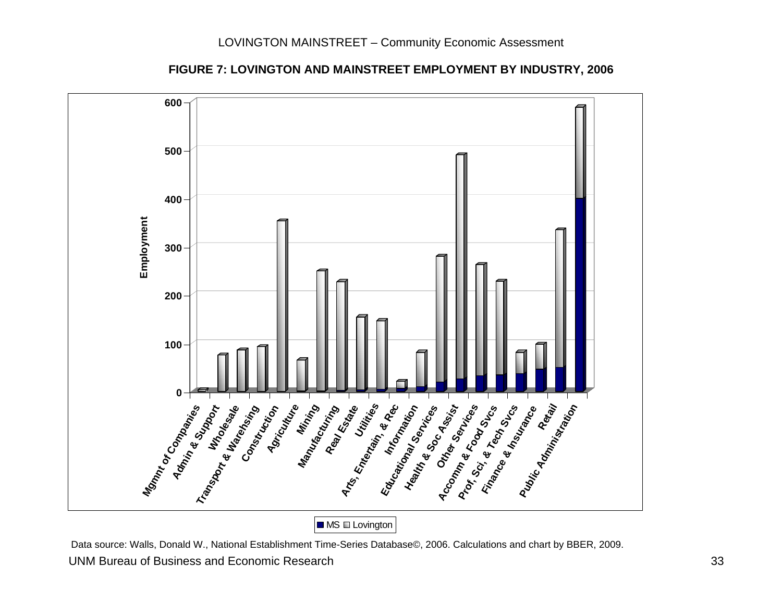

**FIGURE 7: LOVINGTON AND MAINSTREET EMPLOYMENT BY INDUSTRY, 2006**

 UNM Bureau of Business and Economic Research 33 Data source: Walls, Donald W., National Establishment Time-Series Database©, 2006. Calculations and chart by BBER, 2009.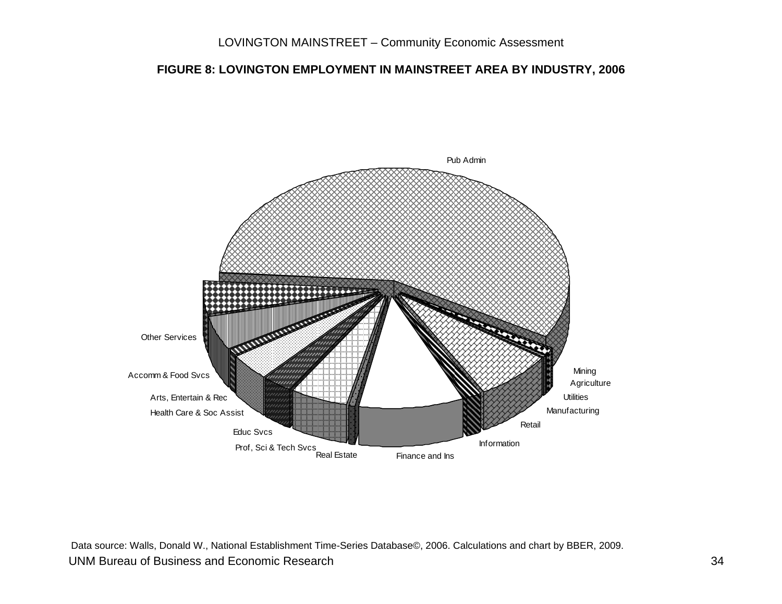### **FIGURE 8: LOVINGTON EMPLOYMENT IN MAINSTREET AREA BY INDUSTRY, 2006**



 UNM Bureau of Business and Economic Research 34 Data source: Walls, Donald W., National Establishment Time-Series Database©, 2006. Calculations and chart by BBER, 2009.